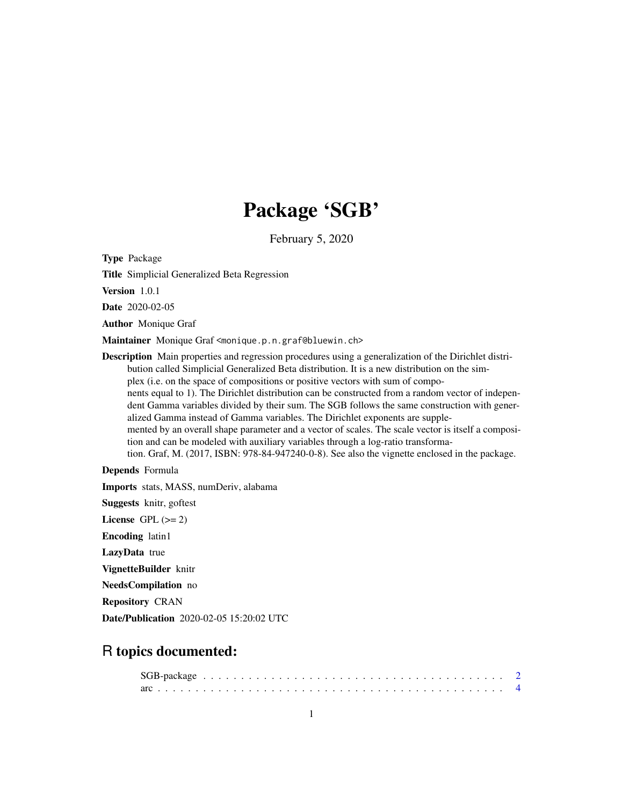# Package 'SGB'

February 5, 2020

<span id="page-0-0"></span>Type Package

Title Simplicial Generalized Beta Regression

Version 1.0.1

Date 2020-02-05

Author Monique Graf

Maintainer Monique Graf <monique.p.n.graf@bluewin.ch>

Description Main properties and regression procedures using a generalization of the Dirichlet distribution called Simplicial Generalized Beta distribution. It is a new distribution on the simplex (i.e. on the space of compositions or positive vectors with sum of components equal to 1). The Dirichlet distribution can be constructed from a random vector of independent Gamma variables divided by their sum. The SGB follows the same construction with generalized Gamma instead of Gamma variables. The Dirichlet exponents are supplemented by an overall shape parameter and a vector of scales. The scale vector is itself a composition and can be modeled with auxiliary variables through a log-ratio transformation. Graf, M. (2017, ISBN: 978-84-947240-0-8). See also the vignette enclosed in the package.

Depends Formula

Imports stats, MASS, numDeriv, alabama

Suggests knitr, goftest

License GPL  $(>= 2)$ 

Encoding latin1

LazyData true

VignetteBuilder knitr

NeedsCompilation no

Repository CRAN

Date/Publication 2020-02-05 15:20:02 UTC

# R topics documented: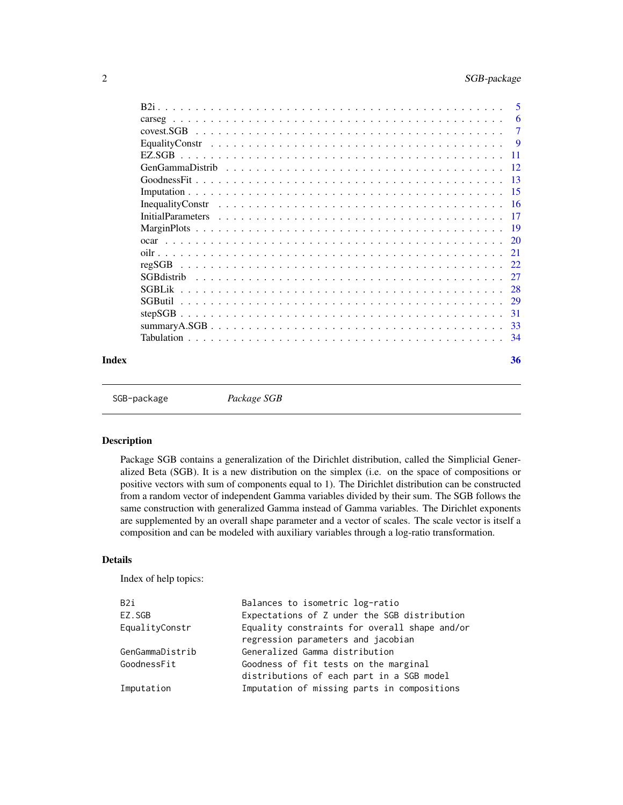<span id="page-1-0"></span>

|       | -6  |
|-------|-----|
|       | -7  |
|       | - 9 |
|       |     |
|       |     |
|       |     |
|       |     |
|       |     |
|       |     |
|       |     |
|       |     |
|       |     |
|       |     |
|       |     |
|       |     |
|       |     |
|       | -31 |
|       |     |
|       | -34 |
| Index | 36  |

```
SGB-package Package SGB
```
Package SGB contains a generalization of the Dirichlet distribution, called the Simplicial Generalized Beta (SGB). It is a new distribution on the simplex (i.e. on the space of compositions or positive vectors with sum of components equal to 1). The Dirichlet distribution can be constructed from a random vector of independent Gamma variables divided by their sum. The SGB follows the same construction with generalized Gamma instead of Gamma variables. The Dirichlet exponents are supplemented by an overall shape parameter and a vector of scales. The scale vector is itself a composition and can be modeled with auxiliary variables through a log-ratio transformation.

# Details

Index of help topics:

| B2i             | Balances to isometric log-ratio               |
|-----------------|-----------------------------------------------|
| EZ.SGB          | Expectations of Z under the SGB distribution  |
| EqualityConstr  | Equality constraints for overall shape and/or |
|                 | regression parameters and jacobian            |
| GenGammaDistrib | Generalized Gamma distribution                |
| GoodnessFit     | Goodness of fit tests on the marginal         |
|                 | distributions of each part in a SGB model     |
| Imputation      | Imputation of missing parts in compositions   |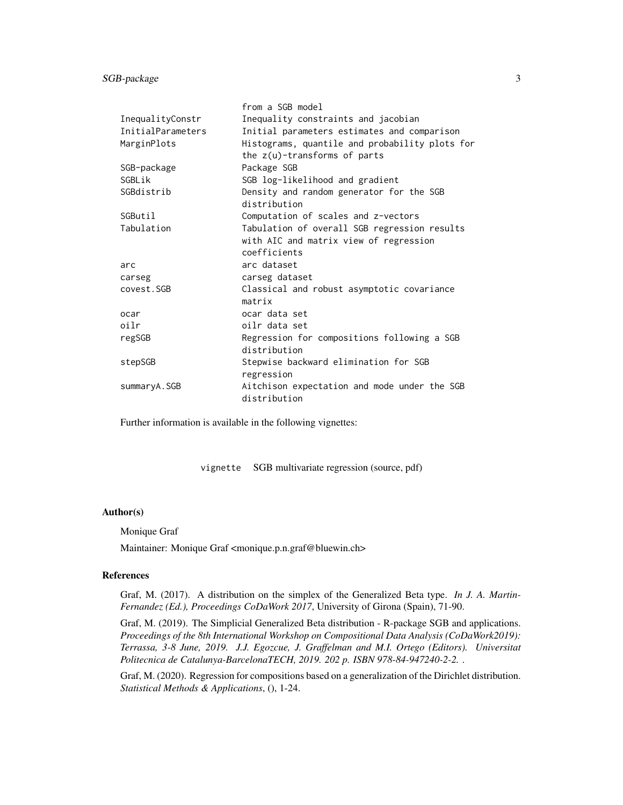SGB-package 3

|                   | from a SGB model                                                                  |
|-------------------|-----------------------------------------------------------------------------------|
| InequalityConstr  | Inequality constraints and jacobian                                               |
| InitialParameters | Initial parameters estimates and comparison                                       |
| MarginPlots       | Histograms, quantile and probability plots for<br>the $z(u)$ -transforms of parts |
| SGB-package       | Package SGB                                                                       |
| SGBI ik           | SGB log-likelihood and gradient                                                   |
| SGBdistrib        | Density and random generator for the SGB<br>distribution                          |
| SGButil           | Computation of scales and z-vectors                                               |
| Tabulation        | Tabulation of overall SGB regression results                                      |
|                   | with AIC and matrix view of regression                                            |
|                   | coefficients                                                                      |
| arc               | arc dataset                                                                       |
| carseg            | carseg dataset                                                                    |
| covest.SGB        | Classical and robust asymptotic covariance                                        |
|                   | matrix                                                                            |
| ocar              | ocar data set                                                                     |
| oilr              | oilr data set                                                                     |
| regSGB            | Regression for compositions following a SGB                                       |
|                   | distribution                                                                      |
| stepSGB           | Stepwise backward elimination for SGB                                             |
|                   | regression                                                                        |
| summaryA.SGB      | Aitchison expectation and mode under the SGB<br>distribution                      |

Further information is available in the following vignettes:

vignette SGB multivariate regression (source, pdf)

#### Author(s)

Monique Graf

Maintainer: Monique Graf <monique.p.n.graf@bluewin.ch>

# References

Graf, M. (2017). A distribution on the simplex of the Generalized Beta type. *In J. A. Martin-Fernandez (Ed.), Proceedings CoDaWork 2017*, University of Girona (Spain), 71-90.

Graf, M. (2019). The Simplicial Generalized Beta distribution - R-package SGB and applications. *Proceedings of the 8th International Workshop on Compositional Data Analysis (CoDaWork2019): Terrassa, 3-8 June, 2019. J.J. Egozcue, J. Graffelman and M.I. Ortego (Editors). Universitat Politecnica de Catalunya-BarcelonaTECH, 2019. 202 p. ISBN 978-84-947240-2-2.* .

Graf, M. (2020). Regression for compositions based on a generalization of the Dirichlet distribution. *Statistical Methods & Applications*, (), 1-24.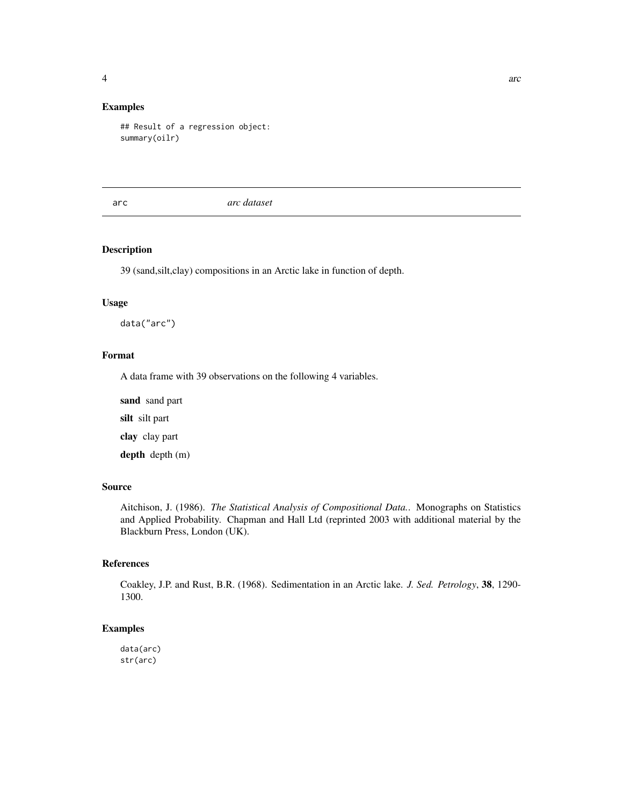<span id="page-3-0"></span>

# Examples

```
## Result of a regression object:
summary(oilr)
```
arc *arc dataset*

# Description

39 (sand,silt,clay) compositions in an Arctic lake in function of depth.

#### Usage

data("arc")

# Format

A data frame with 39 observations on the following 4 variables.

sand sand part silt silt part clay clay part

depth depth (m)

# Source

Aitchison, J. (1986). *The Statistical Analysis of Compositional Data.*. Monographs on Statistics and Applied Probability. Chapman and Hall Ltd (reprinted 2003 with additional material by the Blackburn Press, London (UK).

# References

Coakley, J.P. and Rust, B.R. (1968). Sedimentation in an Arctic lake. *J. Sed. Petrology*, 38, 1290- 1300.

# Examples

data(arc) str(arc)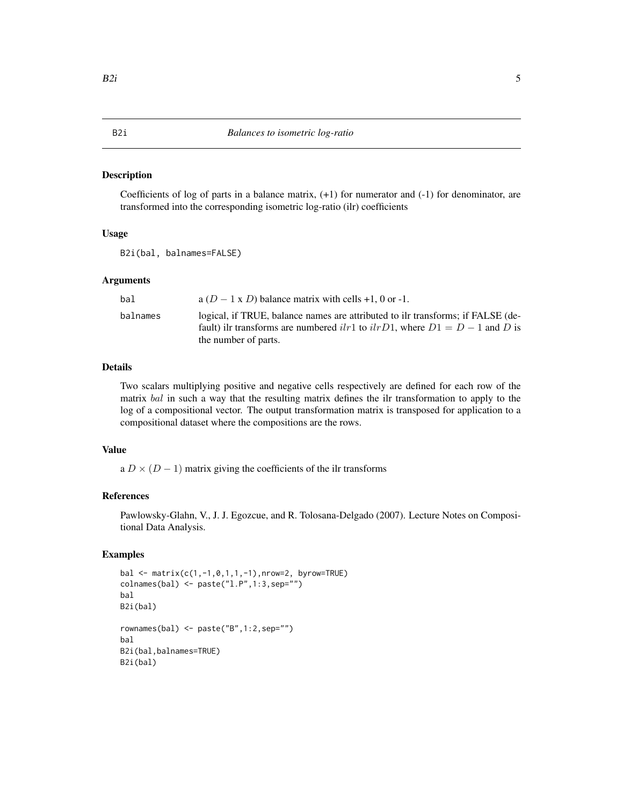<span id="page-4-0"></span>Coefficients of log of parts in a balance matrix, (+1) for numerator and (-1) for denominator, are transformed into the corresponding isometric log-ratio (ilr) coefficients

# Usage

B2i(bal, balnames=FALSE)

#### Arguments

| bal      | a $(D - 1 \times D)$ balance matrix with cells +1, 0 or -1.                                                                                                                                   |
|----------|-----------------------------------------------------------------------------------------------------------------------------------------------------------------------------------------------|
| balnames | logical, if TRUE, balance names are attributed to ilr transforms; if FALSE (de-<br>fault) ilr transforms are numbered $ilr1$ to $ilrD1$ , where $D1 = D - 1$ and D is<br>the number of parts. |

#### Details

Two scalars multiplying positive and negative cells respectively are defined for each row of the matrix bal in such a way that the resulting matrix defines the ilr transformation to apply to the log of a compositional vector. The output transformation matrix is transposed for application to a compositional dataset where the compositions are the rows.

# Value

a  $D \times (D-1)$  matrix giving the coefficients of the ilr transforms

#### References

Pawlowsky-Glahn, V., J. J. Egozcue, and R. Tolosana-Delgado (2007). Lecture Notes on Compositional Data Analysis.

```
bal \leftarrow matrix(c(1, -1, 0, 1, 1, -1), nrow=2, by row=True)colnames(bal) <- paste("l.P",1:3,sep="")
bal
B2i(bal)
rownames(bal) <- paste("B",1:2,sep="")
bal
B2i(bal,balnames=TRUE)
B2i(bal)
```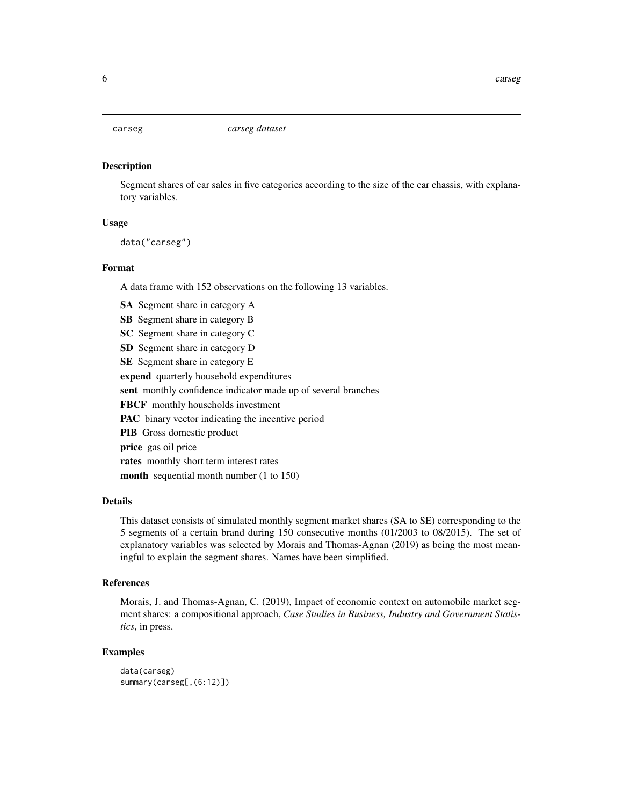<span id="page-5-0"></span>

Segment shares of car sales in five categories according to the size of the car chassis, with explanatory variables.

# Usage

data("carseg")

#### Format

A data frame with 152 observations on the following 13 variables.

SA Segment share in category A

SB Segment share in category B

- SC Segment share in category C
- SD Segment share in category D

SE Segment share in category E

expend quarterly household expenditures

sent monthly confidence indicator made up of several branches

FBCF monthly households investment

PAC binary vector indicating the incentive period

PIB Gross domestic product

price gas oil price

rates monthly short term interest rates

month sequential month number (1 to 150)

#### Details

This dataset consists of simulated monthly segment market shares (SA to SE) corresponding to the 5 segments of a certain brand during 150 consecutive months (01/2003 to 08/2015). The set of explanatory variables was selected by Morais and Thomas-Agnan (2019) as being the most meaningful to explain the segment shares. Names have been simplified.

# References

Morais, J. and Thomas-Agnan, C. (2019), Impact of economic context on automobile market segment shares: a compositional approach, *Case Studies in Business, Industry and Government Statistics*, in press.

```
data(carseg)
summary(carseg[,(6:12)])
```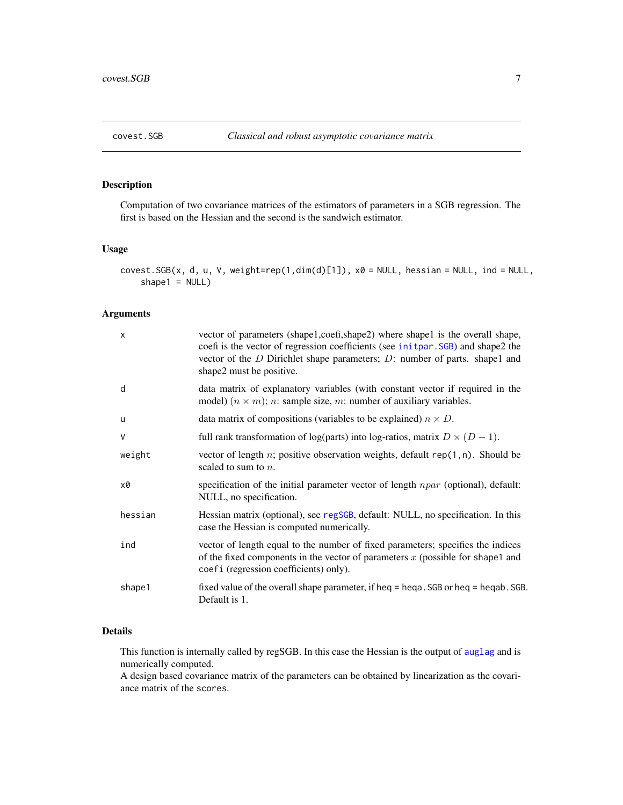<span id="page-6-1"></span><span id="page-6-0"></span>

Computation of two covariance matrices of the estimators of parameters in a SGB regression. The first is based on the Hessian and the second is the sandwich estimator.

#### Usage

```
covest.SGB(x, d, u, V, weight=rep(1, dim(d)[1]), x0 = NULL, hessian = NULL, ind = NULL,shape1 = NULL
```
# Arguments

| $\times$ | vector of parameters (shape1,coefi,shape2) where shape1 is the overall shape,<br>coefi is the vector of regression coefficients (see initpar. SGB) and shape2 the<br>vector of the $D$ Dirichlet shape parameters; $D$ : number of parts. shape1 and<br>shape2 must be positive. |
|----------|----------------------------------------------------------------------------------------------------------------------------------------------------------------------------------------------------------------------------------------------------------------------------------|
| d        | data matrix of explanatory variables (with constant vector if required in the<br>model) $(n \times m)$ ; <i>n</i> : sample size, <i>m</i> : number of auxiliary variables.                                                                                                       |
| u        | data matrix of compositions (variables to be explained) $n \times D$ .                                                                                                                                                                                                           |
| V        | full rank transformation of log(parts) into log-ratios, matrix $D \times (D - 1)$ .                                                                                                                                                                                              |
| weight   | vector of length n; positive observation weights, default $rep(1, n)$ . Should be<br>scaled to sum to $n$ .                                                                                                                                                                      |
| x0       | specification of the initial parameter vector of length $npar$ (optional), default:<br>NULL, no specification.                                                                                                                                                                   |
| hessian  | Hessian matrix (optional), see regSGB, default: NULL, no specification. In this<br>case the Hessian is computed numerically.                                                                                                                                                     |
| ind      | vector of length equal to the number of fixed parameters; specifies the indices<br>of the fixed components in the vector of parameters $x$ (possible for shape1 and<br>coefi (regression coefficients) only).                                                                    |
| shape1   | fixed value of the overall shape parameter, if heq $=$ heqa. SGB or heq $=$ heqab. SGB.<br>Default is 1.                                                                                                                                                                         |

#### Details

This function is internally called by regSGB. In this case the Hessian is the output of [auglag](#page-0-0) and is numerically computed.

A design based covariance matrix of the parameters can be obtained by linearization as the covariance matrix of the scores.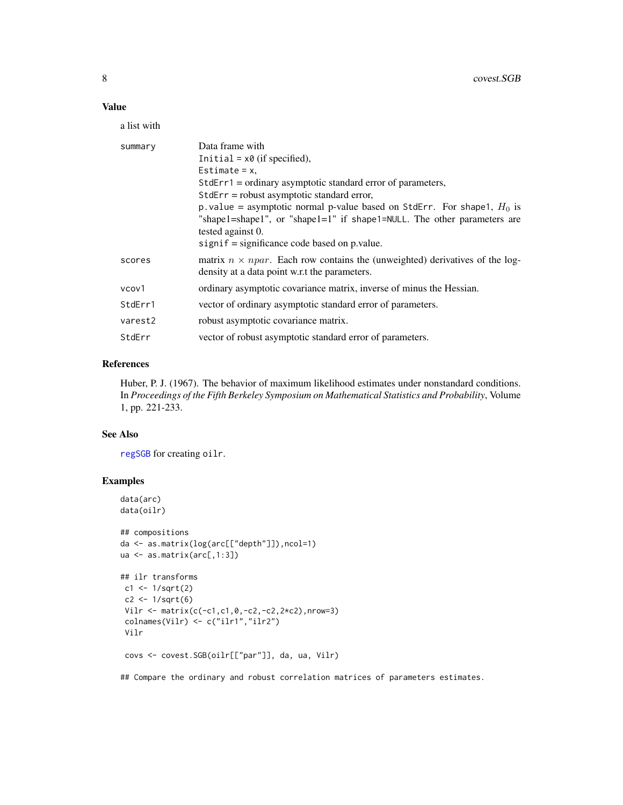# <span id="page-7-0"></span>Value

a list with

| summary | Data frame with<br>Initial = $x0$ (if specified),<br>Estimate = $x$ ,<br>$StdErr1 = \text{ordinary asymptotic standard error of parameters},$<br>StdErr = robust asymptotic standard error,<br>p. value = asymptotic normal p-value based on StdErr. For shape1, $H_0$ is<br>"shape1=shape1", or "shape1=1" if shape1=NULL. The other parameters are<br>tested against 0.<br>$signif = significance code based on p.value.$ |
|---------|-----------------------------------------------------------------------------------------------------------------------------------------------------------------------------------------------------------------------------------------------------------------------------------------------------------------------------------------------------------------------------------------------------------------------------|
| scores  | matrix $n \times npar$ . Each row contains the (unweighted) derivatives of the log-<br>density at a data point w.r.t the parameters.                                                                                                                                                                                                                                                                                        |
| vcov1   | ordinary asymptotic covariance matrix, inverse of minus the Hessian.                                                                                                                                                                                                                                                                                                                                                        |
| StdErr1 | vector of ordinary asymptotic standard error of parameters.                                                                                                                                                                                                                                                                                                                                                                 |
| varest2 | robust asymptotic covariance matrix.                                                                                                                                                                                                                                                                                                                                                                                        |
| StdErr  | vector of robust asymptotic standard error of parameters.                                                                                                                                                                                                                                                                                                                                                                   |

# References

Huber, P. J. (1967). The behavior of maximum likelihood estimates under nonstandard conditions. In *Proceedings of the Fifth Berkeley Symposium on Mathematical Statistics and Probability*, Volume 1, pp. 221-233.

#### See Also

[regSGB](#page-21-1) for creating oilr.

# Examples

```
data(arc)
data(oilr)
```

```
## compositions
da <- as.matrix(log(arc[["depth"]]),ncol=1)
ua <- as.matrix(arc[,1:3])
```

```
## ilr transforms
c1 <- 1/sqrt(2)
c2 <- 1/sqrt(6)
Vilr \leq matrix(c(-c1,c1,0,-c2,-c2,2*c2),nrow=3)
colnames(Vilr) <- c("ilr1","ilr2")
Vilr
```
covs <- covest.SGB(oilr[["par"]], da, ua, Vilr)

## Compare the ordinary and robust correlation matrices of parameters estimates.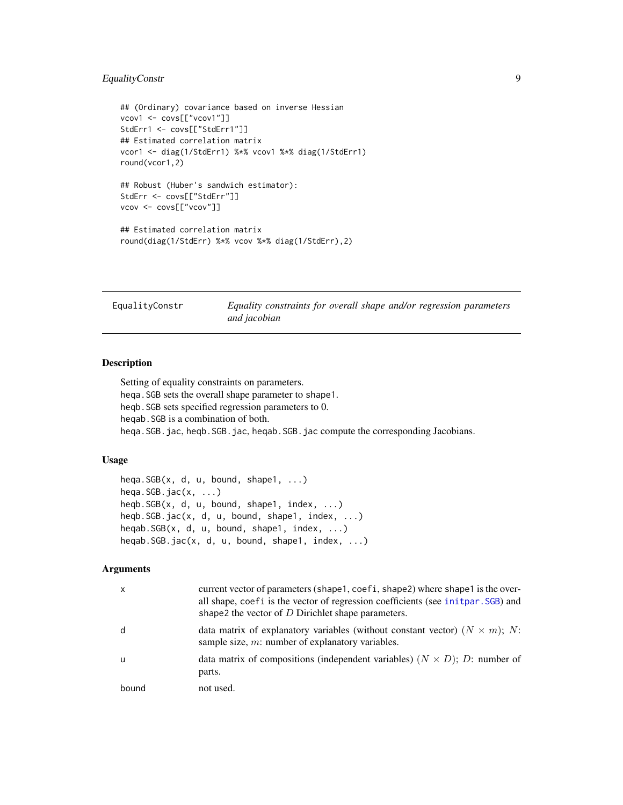# <span id="page-8-0"></span>EqualityConstr 9

```
## (Ordinary) covariance based on inverse Hessian
vcov1 <- covs[["vcov1"]]
StdErr1 <- covs[["StdErr1"]]
## Estimated correlation matrix
vcor1 <- diag(1/StdErr1) %*% vcov1 %*% diag(1/StdErr1)
round(vcor1,2)
## Robust (Huber's sandwich estimator):
StdErr <- covs[["StdErr"]]
vcov <- covs[["vcov"]]
## Estimated correlation matrix
round(diag(1/StdErr) %*% vcov %*% diag(1/StdErr),2)
```
<span id="page-8-1"></span>

EqualityConstr *Equality constraints for overall shape and/or regression parameters and jacobian*

# Description

Setting of equality constraints on parameters. heqa.SGB sets the overall shape parameter to shape1. heqb.SGB sets specified regression parameters to 0. heqab.SGB is a combination of both. heqa.SGB.jac, heqb.SGB.jac, heqab.SGB.jac compute the corresponding Jacobians.

# Usage

```
heqa.SGB(x, d, u, bound, shape1, ...)
heqa.SGB.jac(x, \ldots)heqb.SGB(x, d, u, bound, shape1, index, ...)
heqb.SGB.jac(x, d, u, bound, shape1, index, ...)
heqab.SGB(x, d, u, bound, shape1, index, ...)heqab.SGB.jac(x, d, u, bound, shape1, index, ...)
```
# Arguments

| $\times$ | current vector of parameters (shape1, coefi, shape2) where shape1 is the over-<br>all shape, coefi is the vector of regression coefficients (see init par. SGB) and<br>shape2 the vector of $D$ Dirichlet shape parameters. |
|----------|-----------------------------------------------------------------------------------------------------------------------------------------------------------------------------------------------------------------------------|
| d        | data matrix of explanatory variables (without constant vector) $(N \times m)$ ; N:<br>sample size, $m$ : number of explanatory variables.                                                                                   |
| u        | data matrix of compositions (independent variables) $(N \times D)$ ; D: number of<br>parts.                                                                                                                                 |
| bound    | not used.                                                                                                                                                                                                                   |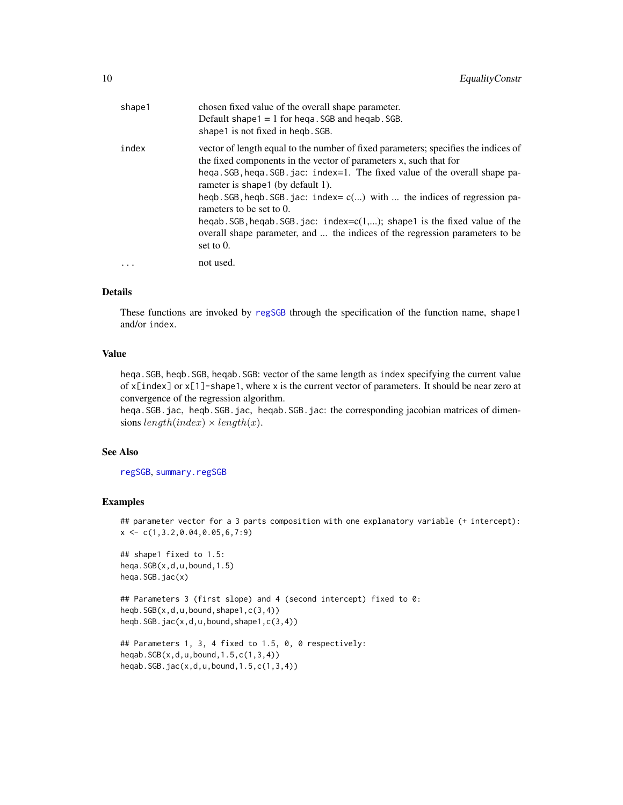<span id="page-9-0"></span>

| shape1   | chosen fixed value of the overall shape parameter.<br>Default shape $1 = 1$ for hega. SGB and hegab. SGB.<br>shape1 is not fixed in hegb. SGB.                                                                                                                                                                                                                                                                                                                                                                                                                             |
|----------|----------------------------------------------------------------------------------------------------------------------------------------------------------------------------------------------------------------------------------------------------------------------------------------------------------------------------------------------------------------------------------------------------------------------------------------------------------------------------------------------------------------------------------------------------------------------------|
| index    | vector of length equal to the number of fixed parameters; specifies the indices of<br>the fixed components in the vector of parameters x, such that for<br>hega. SGB, hega. SGB. jac: index=1. The fixed value of the overall shape pa-<br>rameter is shape 1 (by default 1).<br>heqb. SGB, heqb. SGB. jac: index= $c()$ with  the indices of regression pa-<br>rameters to be set to 0.<br>heqab. SGB, heqab. SGB. jac: index= $c(1,)$ ; shape1 is the fixed value of the<br>overall shape parameter, and  the indices of the regression parameters to be<br>set to $0$ . |
| $\cdots$ | not used.                                                                                                                                                                                                                                                                                                                                                                                                                                                                                                                                                                  |

#### Details

These functions are invoked by [regSGB](#page-21-1) through the specification of the function name, shape1 and/or index.

#### Value

heqa.SGB, heqb.SGB, heqab.SGB: vector of the same length as index specifying the current value of  $x$ [index] or  $x$ [1]-shape1, where x is the current vector of parameters. It should be near zero at convergence of the regression algorithm.

heqa.SGB.jac, heqb.SGB.jac, heqab.SGB.jac: the corresponding jacobian matrices of dimensions  $length/index) \times length(x)$ .

# See Also

[regSGB](#page-21-1), [summary.regSGB](#page-21-2)

```
## parameter vector for a 3 parts composition with one explanatory variable (+ intercept):
x \leftarrow c(1, 3.2, 0.04, 0.05, 6, 7:9)
```

```
## shape1 fixed to 1.5:
heqa.SGB(x,d,u,bound,1.5)
heqa.SGB.jac(x)
```

```
## Parameters 3 (first slope) and 4 (second intercept) fixed to 0:
heqb.SGB(x,d,u,bound,shape1,c(3,4))
heqb.SGB.jac(x,d,u,bound,shape1,c(3,4))
```

```
## Parameters 1, 3, 4 fixed to 1.5, 0, 0 respectively:
heqab.SGB(x,d,u,bound,1.5,c(1,3,4))
heqab.SGB.jac(x,d,u,bound,1.5,c(1,3,4))
```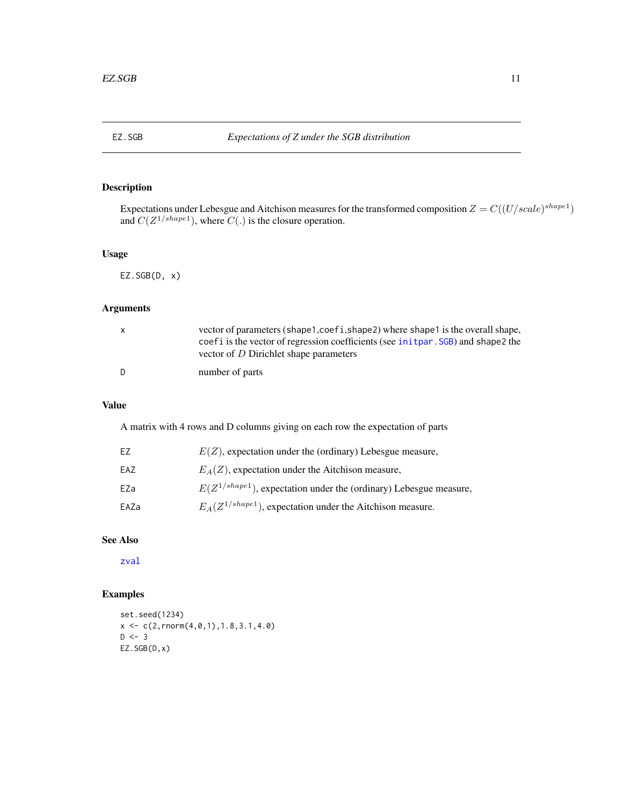<span id="page-10-0"></span>

Expectations under Lebesgue and Aitchison measures for the transformed composition  $Z = C((U/scale)^{shape1})$ and  $C(Z^{1/shape1})$ , where  $C(.)$  is the closure operation.

# Usage

 $EZ.SGB(D, x)$ 

# Arguments

| X.  | vector of parameters (shape1,coef1,shape2) where shape1 is the overall shape,<br>coef i is the vector of regression coefficients (see init par. SGB) and shape 2 the<br>vector of D Dirichlet shape parameters |
|-----|----------------------------------------------------------------------------------------------------------------------------------------------------------------------------------------------------------------|
| - D | number of parts                                                                                                                                                                                                |

# Value

A matrix with 4 rows and D columns giving on each row the expectation of parts

| EZ   | $E(Z)$ , expectation under the (ordinary) Lebesgue measure,            |
|------|------------------------------------------------------------------------|
| EAZ  | $E_A(Z)$ , expectation under the Aitchison measure,                    |
| EZa  | $E(Z^{1/shape1})$ , expectation under the (ordinary) Lebesgue measure, |
| EAZa | $E_A(Z^{1/shape1})$ , expectation under the Aitchison measure.         |

# See Also

[zval](#page-28-1)

```
set.seed(1234)
x \leftarrow c(2, \text{rnorm}(4, \emptyset, 1), 1.8, 3.1, 4.0)D < -3EZ.SGB(D,x)
```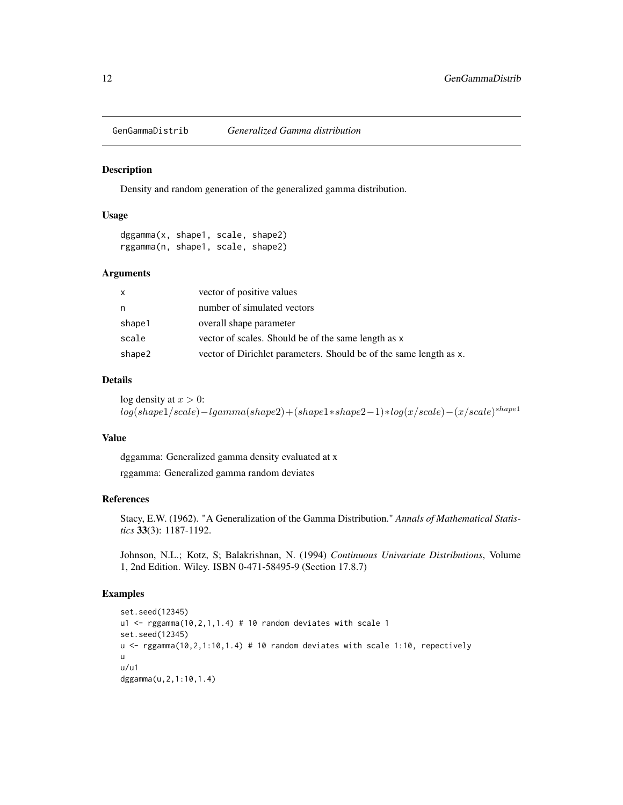<span id="page-11-0"></span>

Density and random generation of the generalized gamma distribution.

#### Usage

dggamma(x, shape1, scale, shape2) rggamma(n, shape1, scale, shape2)

#### Arguments

| $\mathsf{x}$ | vector of positive values                                          |
|--------------|--------------------------------------------------------------------|
| n            | number of simulated vectors                                        |
| shape1       | overall shape parameter                                            |
| scale        | vector of scales. Should be of the same length as x                |
| shape2       | vector of Dirichlet parameters. Should be of the same length as x. |

#### Details

log density at  $x > 0$ :  $log(shape1/scale) -lgamma(shape2) + (shape1*shape2-1)*log(x/scale) - (x/scale)^{shape1}$ 

#### Value

dggamma: Generalized gamma density evaluated at x

rggamma: Generalized gamma random deviates

# References

Stacy, E.W. (1962). "A Generalization of the Gamma Distribution." *Annals of Mathematical Statistics* 33(3): 1187-1192.

Johnson, N.L.; Kotz, S; Balakrishnan, N. (1994) *Continuous Univariate Distributions*, Volume 1, 2nd Edition. Wiley. ISBN 0-471-58495-9 (Section 17.8.7)

```
set.seed(12345)
u1 \leq rggamma(10,2,1,1.4) # 10 random deviates with scale 1
set.seed(12345)
u <- rggamma(10,2,1:10,1.4) # 10 random deviates with scale 1:10, repectively
u
u/u1
dggamma(u,2,1:10,1.4)
```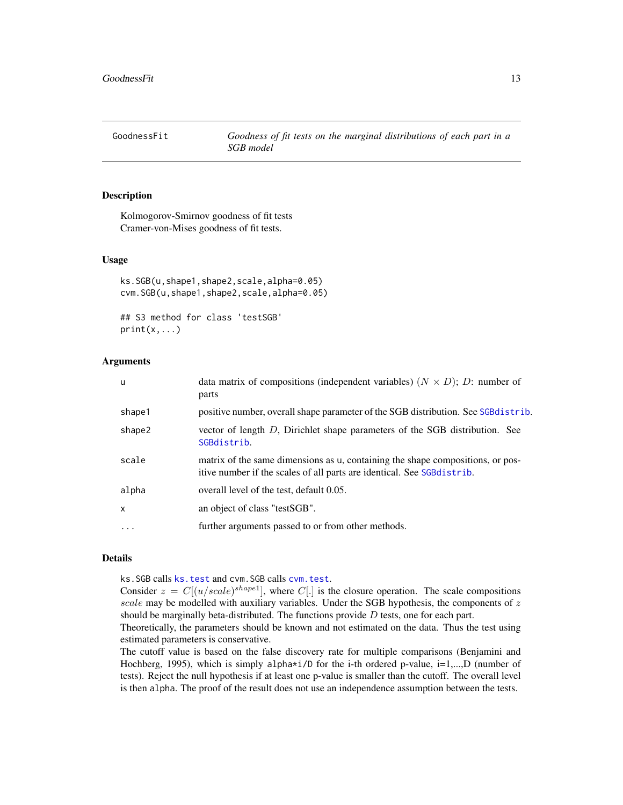<span id="page-12-0"></span>GoodnessFit *Goodness of fit tests on the marginal distributions of each part in a SGB model*

#### Description

Kolmogorov-Smirnov goodness of fit tests Cramer-von-Mises goodness of fit tests.

# Usage

```
ks.SGB(u,shape1,shape2,scale,alpha=0.05)
cvm.SGB(u,shape1,shape2,scale,alpha=0.05)
```
## S3 method for class 'testSGB'  $print(x, \ldots)$ 

### Arguments

| <b>u</b>          | data matrix of compositions (independent variables) $(N \times D)$ ; D: number of<br>parts                                                               |
|-------------------|----------------------------------------------------------------------------------------------------------------------------------------------------------|
| shape1            | positive number, overall shape parameter of the SGB distribution. See SGB distrib.                                                                       |
| shape2            | vector of length D, Dirichlet shape parameters of the SGB distribution. See<br>SGBdistrib.                                                               |
| scale             | matrix of the same dimensions as u, containing the shape compositions, or pos-<br>itive number if the scales of all parts are identical. See SGBdistrib. |
| alpha             | overall level of the test, default 0.05.                                                                                                                 |
| $\mathsf{x}$      | an object of class "testSGB".                                                                                                                            |
| $\cdot\cdot\cdot$ | further arguments passed to or from other methods.                                                                                                       |

#### Details

ks.SGB calls [ks.test](#page-0-0) and cvm.SGB calls [cvm.test](#page-0-0).

Consider  $z = C[(u/scale)^{shape1}]$ , where  $C[.]$  is the closure operation. The scale compositions scale may be modelled with auxiliary variables. Under the SGB hypothesis, the components of  $z$ should be marginally beta-distributed. The functions provide  $D$  tests, one for each part.

Theoretically, the parameters should be known and not estimated on the data. Thus the test using estimated parameters is conservative.

The cutoff value is based on the false discovery rate for multiple comparisons (Benjamini and Hochberg, 1995), which is simply alpha $\star$ i/D for the i-th ordered p-value, i=1,...,D (number of tests). Reject the null hypothesis if at least one p-value is smaller than the cutoff. The overall level is then alpha. The proof of the result does not use an independence assumption between the tests.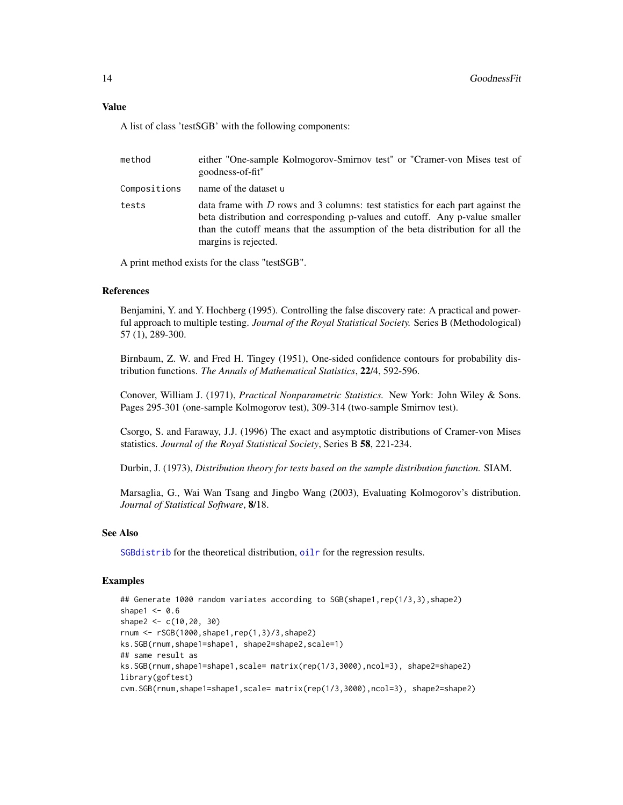# <span id="page-13-0"></span>Value

A list of class 'testSGB' with the following components:

| method       | either "One-sample Kolmogorov-Smirnov test" or "Cramer-von Mises test of<br>goodness-of-fit"                                                                                                                                                                                |
|--------------|-----------------------------------------------------------------------------------------------------------------------------------------------------------------------------------------------------------------------------------------------------------------------------|
| Compositions | name of the dataset u                                                                                                                                                                                                                                                       |
| tests        | data frame with $D$ rows and 3 columns: test statistics for each part against the<br>beta distribution and corresponding p-values and cutoff. Any p-value smaller<br>than the cutoff means that the assumption of the beta distribution for all the<br>margins is rejected. |

A print method exists for the class "testSGB".

# References

Benjamini, Y. and Y. Hochberg (1995). Controlling the false discovery rate: A practical and powerful approach to multiple testing. *Journal of the Royal Statistical Society.* Series B (Methodological) 57 (1), 289-300.

Birnbaum, Z. W. and Fred H. Tingey (1951), One-sided confidence contours for probability distribution functions. *The Annals of Mathematical Statistics*, 22/4, 592-596.

Conover, William J. (1971), *Practical Nonparametric Statistics.* New York: John Wiley & Sons. Pages 295-301 (one-sample Kolmogorov test), 309-314 (two-sample Smirnov test).

Csorgo, S. and Faraway, J.J. (1996) The exact and asymptotic distributions of Cramer-von Mises statistics. *Journal of the Royal Statistical Society*, Series B 58, 221-234.

Durbin, J. (1973), *Distribution theory for tests based on the sample distribution function.* SIAM.

Marsaglia, G., Wai Wan Tsang and Jingbo Wang (2003), Evaluating Kolmogorov's distribution. *Journal of Statistical Software*, 8/18.

# See Also

[SGBdistrib](#page-26-1) for the theoretical distribution, oil r for the regression results.

```
## Generate 1000 random variates according to SGB(shape1,rep(1/3,3),shape2)
shape1 <-0.6shape2 <- c(10, 20, 30)rnum <- rSGB(1000,shape1,rep(1,3)/3,shape2)
ks.SGB(rnum,shape1=shape1, shape2=shape2,scale=1)
## same result as
ks.SGB(rnum,shape1=shape1,scale= matrix(rep(1/3,3000),ncol=3), shape2=shape2)
library(goftest)
cvm.SGB(rnum,shape1=shape1,scale= matrix(rep(1/3,3000),ncol=3), shape2=shape2)
```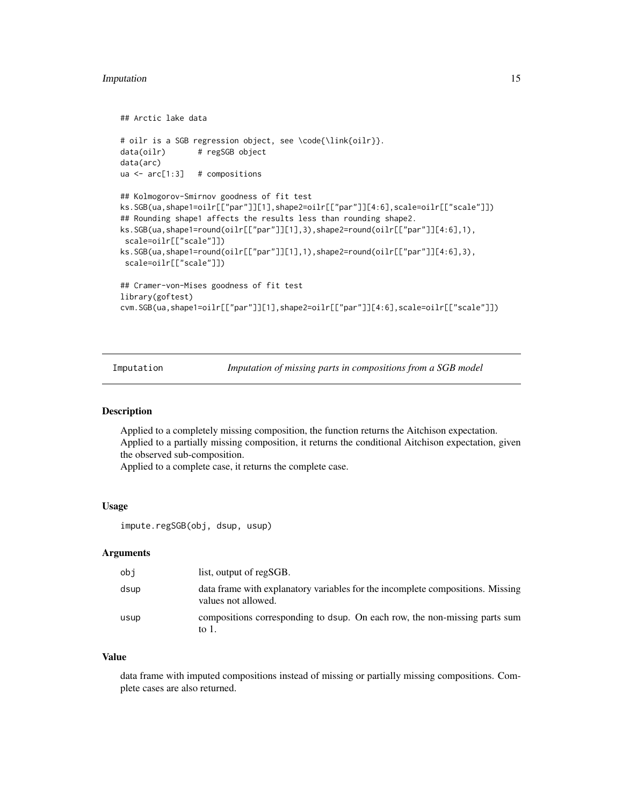#### <span id="page-14-0"></span>Imputation 15

```
## Arctic lake data
# oilr is a SGB regression object, see \code{\link{oilr}}.
data(oilr) # regSGB object
data(arc)
ua <- arc[1:3] # compositions
## Kolmogorov-Smirnov goodness of fit test
ks.SGB(ua,shape1=oilr[["par"]][1],shape2=oilr[["par"]][4:6],scale=oilr[["scale"]])
## Rounding shape1 affects the results less than rounding shape2.
ks.SGB(ua,shape1=round(oilr[["par"]][1],3),shape2=round(oilr[["par"]][4:6],1),
 scale=oilr[["scale"]])
ks.SGB(ua,shape1=round(oilr[["par"]][1],1),shape2=round(oilr[["par"]][4:6],3),
 scale=oilr[["scale"]])
## Cramer-von-Mises goodness of fit test
library(goftest)
cvm.SGB(ua,shape1=oilr[["par"]][1],shape2=oilr[["par"]][4:6],scale=oilr[["scale"]])
```
Imputation *Imputation of missing parts in compositions from a SGB model*

#### Description

Applied to a completely missing composition, the function returns the Aitchison expectation. Applied to a partially missing composition, it returns the conditional Aitchison expectation, given the observed sub-composition.

Applied to a complete case, it returns the complete case.

#### Usage

```
impute.regSGB(obj, dsup, usup)
```
# Arguments

| obi  | list, output of regSGB.                                                                               |
|------|-------------------------------------------------------------------------------------------------------|
| dsup | data frame with explanatory variables for the incomplete compositions. Missing<br>values not allowed. |
| usup | compositions corresponding to dsup. On each row, the non-missing parts sum<br>to 1.                   |

#### Value

data frame with imputed compositions instead of missing or partially missing compositions. Complete cases are also returned.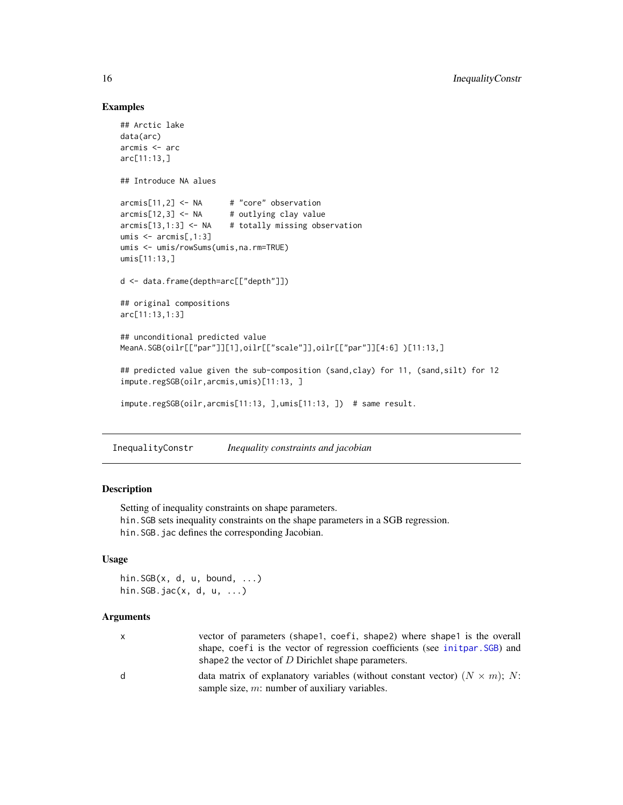### Examples

```
## Arctic lake
data(arc)
arcmis <- arc
arc[11:13,]
## Introduce NA alues
arcmis[11,2] <- NA # "core" observation
arcmis[12,3] \leq NA # outlying clay value
arcmis[13,1:3] \leftarrow NA # totally missing observation
umis <- arcmis[,1:3]
umis <- umis/rowSums(umis,na.rm=TRUE)
umis[11:13,]
d <- data.frame(depth=arc[["depth"]])
## original compositions
arc[11:13,1:3]
## unconditional predicted value
MeanA.SGB(oilr[["par"]][1],oilr[["scale"]],oilr[["par"]][4:6] )[11:13,]
## predicted value given the sub-composition (sand,clay) for 11, (sand,silt) for 12
impute.regSGB(oilr,arcmis,umis)[11:13, ]
impute.regSGB(oilr,arcmis[11:13, ],umis[11:13, ]) # same result.
```
<span id="page-15-1"></span>InequalityConstr *Inequality constraints and jacobian*

#### Description

Setting of inequality constraints on shape parameters. hin.SGB sets inequality constraints on the shape parameters in a SGB regression. hin.SGB.jac defines the corresponding Jacobian.

# Usage

hin. $SGB(x, d, u, bound, ...)$ hin.SGB.jac(x, d, u, ...)

#### Arguments

| x | vector of parameters (shape1, coefi, shape2) where shape1 is the overall<br>shape, coefi is the vector of regression coefficients (see init par. SGB) and<br>shape2 the vector of $D$ Dirichlet shape parameters. |
|---|-------------------------------------------------------------------------------------------------------------------------------------------------------------------------------------------------------------------|
| d | data matrix of explanatory variables (without constant vector) $(N \times m)$ ; N:<br>sample size, $m$ : number of auxiliary variables.                                                                           |

<span id="page-15-0"></span>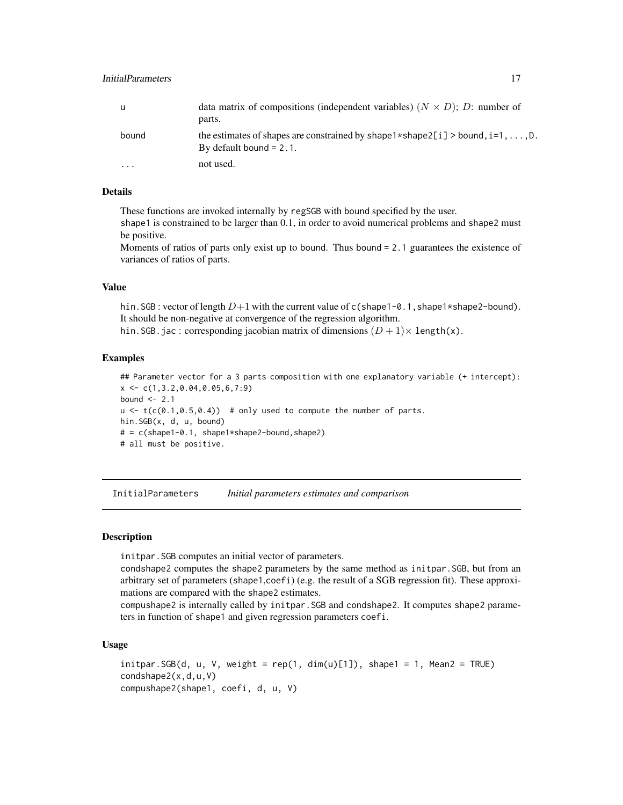<span id="page-16-0"></span>

| u     | data matrix of compositions (independent variables) $(N \times D)$ ; D: number of<br>parts.                                        |
|-------|------------------------------------------------------------------------------------------------------------------------------------|
| bound | the estimates of shapes are constrained by shape $1 \times$ shape $2[i] >$ bound, $i=1, \ldots, D$ .<br>By default bound $= 2.1$ . |
|       | not used.                                                                                                                          |

# Details

These functions are invoked internally by regSGB with bound specified by the user.

shape1 is constrained to be larger than 0.1, in order to avoid numerical problems and shape2 must be positive.

Moments of ratios of parts only exist up to bound. Thus bound = 2.1 guarantees the existence of variances of ratios of parts.

#### Value

hin. SGB : vector of length  $D+1$  with the current value of c(shape1-0.1,shape1\*shape2-bound). It should be non-negative at convergence of the regression algorithm. hin. SGB. jac : corresponding jacobian matrix of dimensions  $(D + 1) \times$  length(x).

#### Examples

```
## Parameter vector for a 3 parts composition with one explanatory variable (+ intercept):
x \leftarrow c(1, 3.2, 0.04, 0.05, 6, 7:9)bound \leq -2.1u \leftarrow t(c(0.1, 0.5, 0.4)) # only used to compute the number of parts.
hin.SGB(x, d, u, bound)
# = c(shape1-0.1, shape1*shape2-bound, shape2)# all must be positive.
```
InitialParameters *Initial parameters estimates and comparison*

# <span id="page-16-1"></span>**Description**

initpar.SGB computes an initial vector of parameters.

condshape2 computes the shape2 parameters by the same method as initpar. SGB, but from an arbitrary set of parameters (shape1,coefi) (e.g. the result of a SGB regression fit). These approximations are compared with the shape2 estimates.

compushape2 is internally called by initpar.SGB and condshape2. It computes shape2 parameters in function of shape1 and given regression parameters coefi.

#### Usage

```
initpar.SGB(d, u, V, weight = rep(1, dim(u)[1]), shape1 = 1, Mean2 = TRUE)condshape2(x,d,u,V)
compushape2(shape1, coefi, d, u, V)
```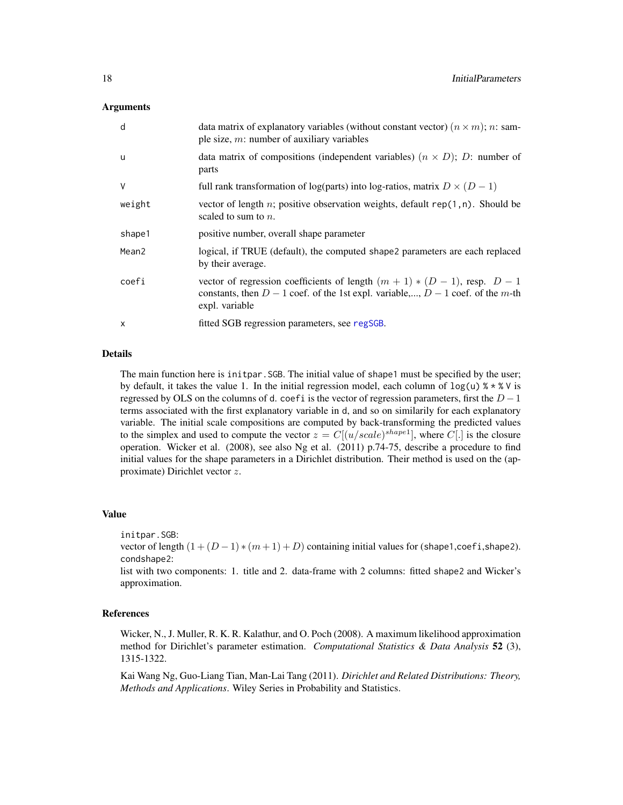#### <span id="page-17-0"></span>Arguments

| d                 | data matrix of explanatory variables (without constant vector) $(n \times m)$ ; n: sam-<br>ple size, $m$ : number of auxiliary variables                                             |
|-------------------|--------------------------------------------------------------------------------------------------------------------------------------------------------------------------------------|
| u                 | data matrix of compositions (independent variables) $(n \times D)$ ; D: number of<br>parts                                                                                           |
| $\vee$            | full rank transformation of log(parts) into log-ratios, matrix $D \times (D - 1)$                                                                                                    |
| weight            | vector of length n; positive observation weights, default $rep(1, n)$ . Should be<br>scaled to sum to $n$ .                                                                          |
| shape1            | positive number, overall shape parameter                                                                                                                                             |
| Mean <sub>2</sub> | logical, if TRUE (default), the computed shape2 parameters are each replaced<br>by their average.                                                                                    |
| coefi             | vector of regression coefficients of length $(m + 1) * (D - 1)$ , resp. $D - 1$<br>constants, then $D-1$ coef. of the 1st expl. variable,, $D-1$ coef. of the m-th<br>expl. variable |
| $\times$          | fitted SGB regression parameters, see regSGB.                                                                                                                                        |

# Details

The main function here is initpar.SGB. The initial value of shape1 must be specified by the user; by default, it takes the value 1. In the initial regression model, each column of  $log(u)$  %  $*$  % V is regressed by OLS on the columns of d. coefi is the vector of regression parameters, first the  $D-1$ terms associated with the first explanatory variable in d, and so on similarily for each explanatory variable. The initial scale compositions are computed by back-transforming the predicted values to the simplex and used to compute the vector  $z = C[(u/scale)^{shape1}]$ , where C[.] is the closure operation. Wicker et al. (2008), see also Ng et al. (2011) p.74-75, describe a procedure to find initial values for the shape parameters in a Dirichlet distribution. Their method is used on the (approximate) Dirichlet vector z.

#### Value

initpar.SGB:

vector of length  $(1 + (D - 1) * (m + 1) + D)$  containing initial values for (shape1,coefi,shape2). condshape2:

list with two components: 1. title and 2. data-frame with 2 columns: fitted shape2 and Wicker's approximation.

#### References

Wicker, N., J. Muller, R. K. R. Kalathur, and O. Poch (2008). A maximum likelihood approximation method for Dirichlet's parameter estimation. *Computational Statistics & Data Analysis* 52 (3), 1315-1322.

Kai Wang Ng, Guo-Liang Tian, Man-Lai Tang (2011). *Dirichlet and Related Distributions: Theory, Methods and Applications*. Wiley Series in Probability and Statistics.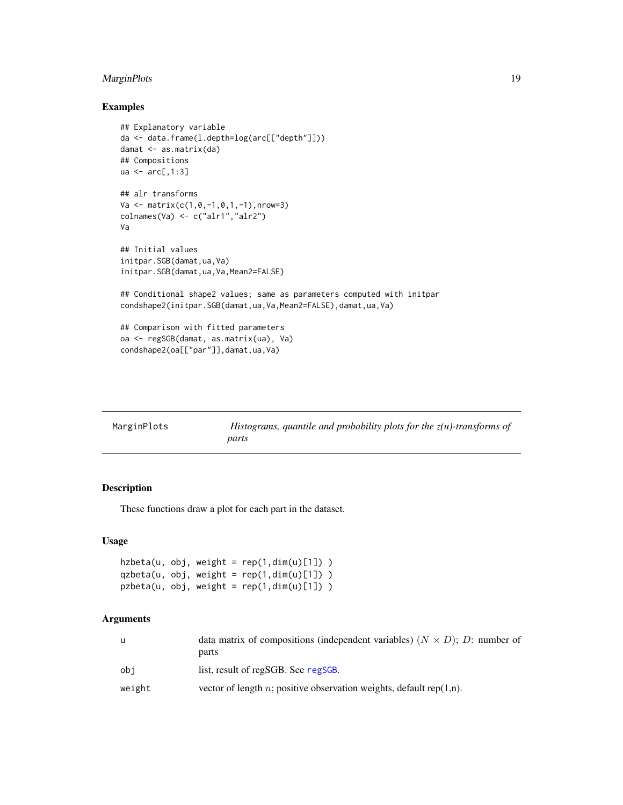# <span id="page-18-0"></span>MarginPlots 19

# Examples

```
## Explanatory variable
da <- data.frame(l.depth=log(arc[["depth"]]))
damat <- as.matrix(da)
## Compositions
ua \leq arc[,1:3]
## alr transforms
Va <- matrix(c(1,0,-1,0,1,-1),nrow=3)
colnames(Va) <- c("alr1","alr2")
Va
## Initial values
initpar.SGB(damat,ua,Va)
initpar.SGB(damat,ua,Va,Mean2=FALSE)
## Conditional shape2 values; same as parameters computed with initpar
condshape2(initpar.SGB(damat,ua,Va,Mean2=FALSE),damat,ua,Va)
## Comparison with fitted parameters
oa <- regSGB(damat, as.matrix(ua), Va)
condshape2(oa[["par"]],damat,ua,Va)
```

| MarginPlots | Histograms, quantile and probability plots for the $z(u)$ -transforms of |
|-------------|--------------------------------------------------------------------------|
|             | parts                                                                    |

# Description

These functions draw a plot for each part in the dataset.

# Usage

```
hzbeta(u, obj, weight = rep(1, dim(u)[1]) )qzbeta(u, obj, weight = rep(1,dim(u)[1]) )
pzbeta(u, obj, weight = rep(1, dim(u)[1]) )
```
### Arguments

|        | data matrix of compositions (independent variables) $(N \times D)$ ; D: number of |
|--------|-----------------------------------------------------------------------------------|
|        | parts                                                                             |
| obi    | list, result of regSGB. See regSGB.                                               |
| weight | vector of length n; positive observation weights, default rep $(1,n)$ .           |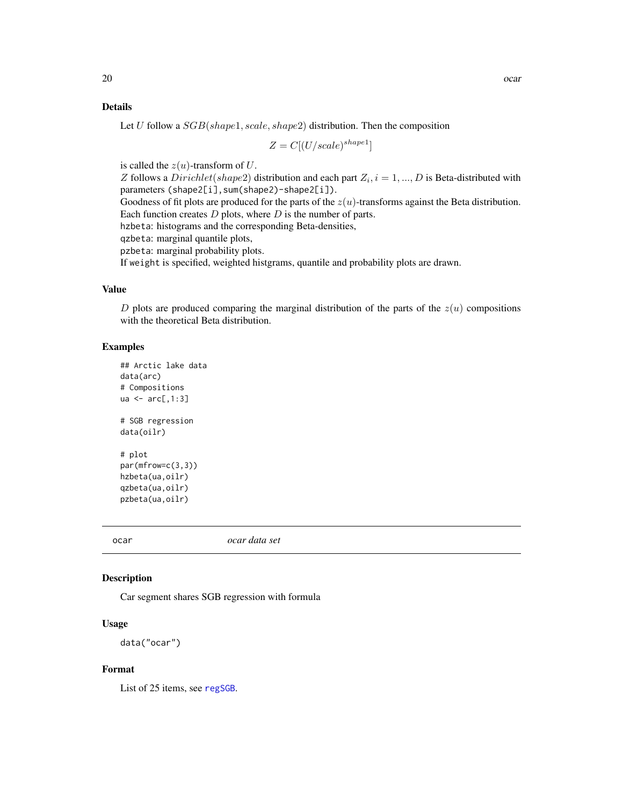#### <span id="page-19-0"></span>Details

Let U follow a  $SGB(shape1, scale, shape2)$  distribution. Then the composition

$$
Z = C[(U/scale)^{shape1}]
$$

is called the  $z(u)$ -transform of U.

Z follows a  $Dirichlet(shape2)$  distribution and each part  $Z_i$ ,  $i = 1, ..., D$  is Beta-distributed with parameters (shape2[i],sum(shape2)-shape2[i]).

Goodness of fit plots are produced for the parts of the  $z(u)$ -transforms against the Beta distribution. Each function creates  $D$  plots, where  $D$  is the number of parts.

hzbeta: histograms and the corresponding Beta-densities,

qzbeta: marginal quantile plots,

pzbeta: marginal probability plots.

If weight is specified, weighted histgrams, quantile and probability plots are drawn.

#### Value

D plots are produced comparing the marginal distribution of the parts of the  $z(u)$  compositions with the theoretical Beta distribution.

#### Examples

```
## Arctic lake data
data(arc)
# Compositions
ua \leq arc[,1:3]
# SGB regression
data(oilr)
# plot
par(mfrow=c(3,3))
hzbeta(ua,oilr)
qzbeta(ua,oilr)
pzbeta(ua,oilr)
```
ocar *ocar data set*

#### Description

Car segment shares SGB regression with formula

#### Usage

data("ocar")

#### Format

List of 25 items, see [regSGB](#page-21-1).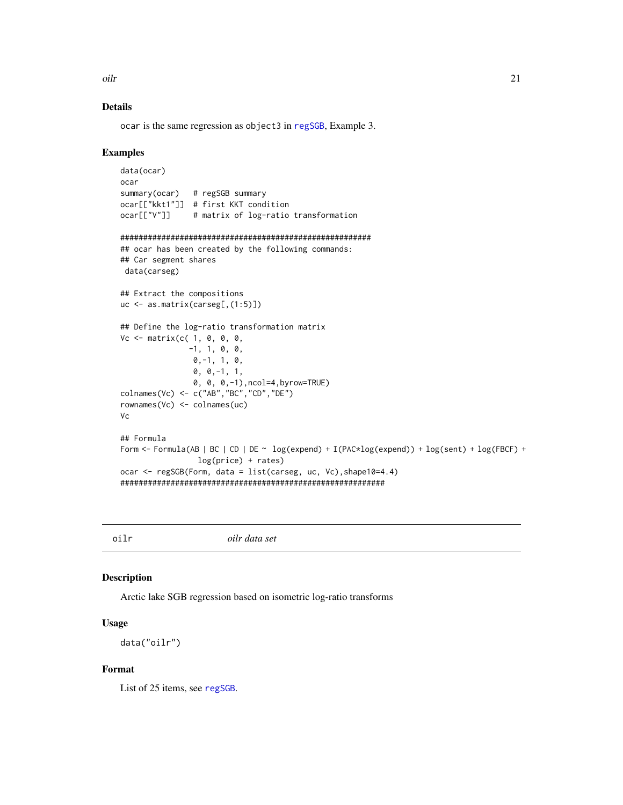<span id="page-20-0"></span>oilr 21

# Details

ocar is the same regression as object3 in [regSGB](#page-21-1), Example 3.

#### Examples

```
data(ocar)
ocar
summary(ocar) # regSGB summary
ocar[["kkt1"]] # first KKT condition
ocar[["V"]] # matrix of log-ratio transformation
#######################################################
## ocar has been created by the following commands:
## Car segment shares
data(carseg)
## Extract the compositions
uc <- as.matrix(carseg[,(1:5)])
## Define the log-ratio transformation matrix
Vc <- matrix(c( 1, 0, 0, 0, 0)-1, 1, 0, 0,
                0,-1, 1, 0,
                0, 0,-1, 1,
                0, 0, 0,-1),ncol=4,byrow=TRUE)
colnames(Vc) <- c("AB","BC","CD","DE")
rownames(Vc) <- colnames(uc)
Vc
## Formula
Form <- Formula(AB | BC | CD | DE ~ log(expend) + I(PAC*log(expend)) + log(sent) + log(FBCF) +
                 log(price) + rates)
ocar <- regSGB(Form, data = list(carseg, uc, Vc),shape10=4.4)
##########################################################
```
<span id="page-20-1"></span>oilr *oilr data set*

#### Description

Arctic lake SGB regression based on isometric log-ratio transforms

#### Usage

data("oilr")

#### Format

List of 25 items, see [regSGB](#page-21-1).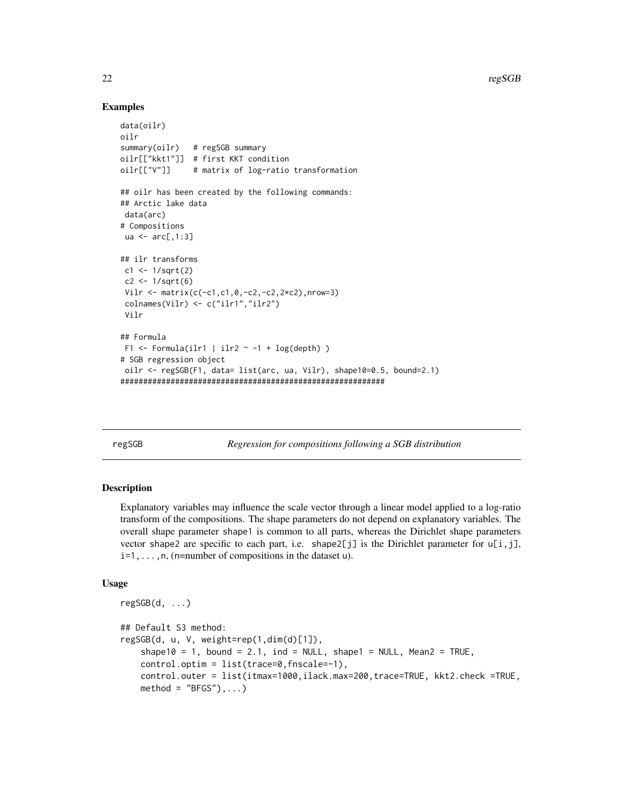$22$  regSGB

#### Examples

```
data(oilr)
oilr
summary(oilr) # regSGB summary
oilr[["kkt1"]] # first KKT condition
oilr[["V"]] # matrix of log-ratio transformation
## oilr has been created by the following commands:
## Arctic lake data
 data(arc)
# Compositions
ua \leq arc[,1:3]
## ilr transforms
 c1 < -1/sqrt(2)c2 < -1/sqrt(6)Vilr <- matrix(c(-c1,c1,0,-c2,-c2,2*c2),nrow=3)
 colnames(Vilr) <- c("ilr1","ilr2")
 Vilr
## Formula
 F1 \le Formula(ilr1 | ilr2 \sim -1 + log(depth) )
# SGB regression object
oilr <- regSGB(F1, data= list(arc, ua, Vilr), shape10=0.5, bound=2.1)
##########################################################
```
<span id="page-21-1"></span>

regSGB *Regression for compositions following a SGB distribution*

#### <span id="page-21-2"></span>**Description**

Explanatory variables may influence the scale vector through a linear model applied to a log-ratio transform of the compositions. The shape parameters do not depend on explanatory variables. The overall shape parameter shape1 is common to all parts, whereas the Dirichlet shape parameters vector shape2 are specific to each part, i.e. shape2[j] is the Dirichlet parameter for  $u[i, j]$ ,  $i=1,\ldots,n$ , (n=number of compositions in the dataset u).

#### Usage

```
regSGB(d, ...)
## Default S3 method:
regSGB(d, u, V, weight=rep(1,dim(d)[1]),
    shape10 = 1, bound = 2.1, ind = NULL, shape1 = NULL, Mean2 = TRUE,
    control.optim = list(trace=0,fnscale=-1),
    control.outer = list(itmax=1000,ilack.max=200,trace=TRUE, kkt2.check =TRUE,
    method = "BFGS"), \ldots)
```
<span id="page-21-0"></span>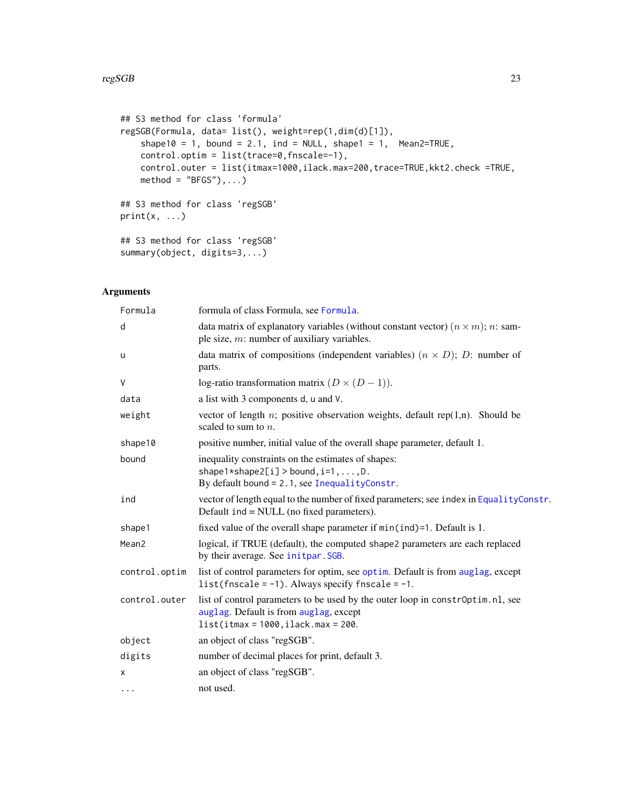```
## S3 method for class 'formula'
regSGB(Formula, data= list(), weight=rep(1,dim(d)[1]),
    shape10 = 1, bound = 2.1, ind = NULL, shape1 = 1, Mean2=TRUE,
    control.optim = list(trace=0,fnscale=-1),
    control.outer = list(itmax=1000,ilack.max=200,trace=TRUE,kkt2.check =TRUE,
    method = "BFGS"), \ldots)## S3 method for class 'regSGB'
print(x, \ldots)## S3 method for class 'regSGB'
```
# Arguments

summary(object, digits=3,...)

| Formula       | formula of class Formula, see Formula.                                                                                                                            |
|---------------|-------------------------------------------------------------------------------------------------------------------------------------------------------------------|
| d             | data matrix of explanatory variables (without constant vector) $(n \times m)$ ; n: sam-<br>ple size, $m$ : number of auxiliary variables.                         |
| u             | data matrix of compositions (independent variables) $(n \times D)$ ; D: number of<br>parts.                                                                       |
| $\vee$        | log-ratio transformation matrix $(D \times (D - 1))$ .                                                                                                            |
| data          | a list with 3 components d, u and V.                                                                                                                              |
| weight        | vector of length n; positive observation weights, default $rep(1,n)$ . Should be<br>scaled to sum to $n$ .                                                        |
| shape10       | positive number, initial value of the overall shape parameter, default 1.                                                                                         |
| bound         | inequality constraints on the estimates of shapes:<br>$shape1*shape2[i] > bound, i=1, , D.$<br>By default bound = 2.1, see InequalityConstr.                      |
| ind           | vector of length equal to the number of fixed parameters; see index in EqualityConstr.<br>Default ind = NULL (no fixed parameters).                               |
| shape1        | fixed value of the overall shape parameter if $min(int) = 1$ . Default is 1.                                                                                      |
| Mean2         | logical, if TRUE (default), the computed shape2 parameters are each replaced<br>by their average. See initpar. SGB.                                               |
| control.optim | list of control parameters for optim, see optim. Default is from auglag, except<br>list(fnscale = $-1$ ). Always specify fnscale = $-1$ .                         |
| control.outer | list of control parameters to be used by the outer loop in constroptim.nl, see<br>auglag. Default is from auglag, except<br>$list(itmax = 1000, ilack.max = 200.$ |
| object        | an object of class "regSGB".                                                                                                                                      |
| digits        | number of decimal places for print, default 3.                                                                                                                    |
| X             | an object of class "regSGB".                                                                                                                                      |
| $\cdots$      | not used.                                                                                                                                                         |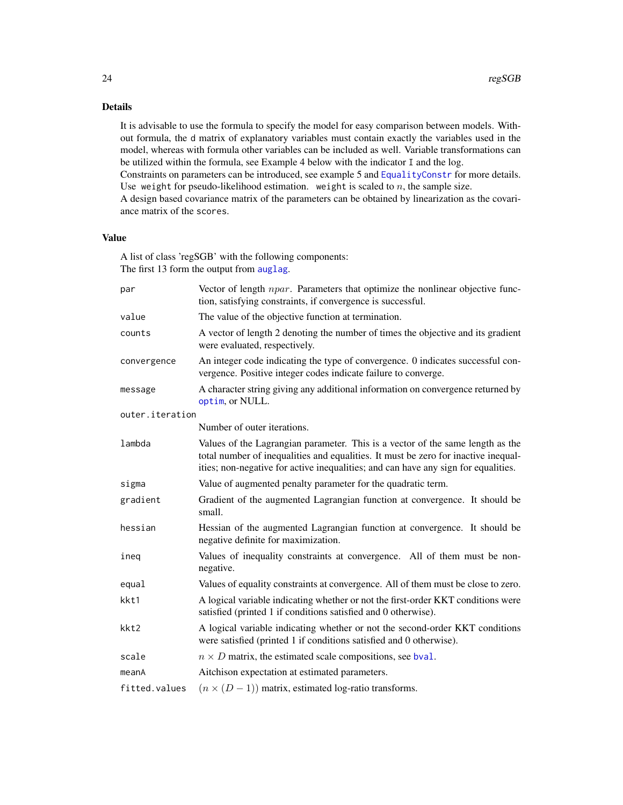# Details

It is advisable to use the formula to specify the model for easy comparison between models. Without formula, the d matrix of explanatory variables must contain exactly the variables used in the model, whereas with formula other variables can be included as well. Variable transformations can be utilized within the formula, see Example 4 below with the indicator I and the log.

Constraints on parameters can be introduced, see example 5 and [EqualityConstr](#page-8-1) for more details. Use weight for pseudo-likelihood estimation. weight is scaled to  $n$ , the sample size.

A design based covariance matrix of the parameters can be obtained by linearization as the covariance matrix of the scores.

# Value

A list of class 'regSGB' with the following components: The first 13 form the output from [auglag](#page-0-0).

| par             | Vector of length <i>npar</i> . Parameters that optimize the nonlinear objective func-<br>tion, satisfying constraints, if convergence is successful.                                                                                                       |
|-----------------|------------------------------------------------------------------------------------------------------------------------------------------------------------------------------------------------------------------------------------------------------------|
| value           | The value of the objective function at termination.                                                                                                                                                                                                        |
| counts          | A vector of length 2 denoting the number of times the objective and its gradient<br>were evaluated, respectively.                                                                                                                                          |
| convergence     | An integer code indicating the type of convergence. 0 indicates successful con-<br>vergence. Positive integer codes indicate failure to converge.                                                                                                          |
| message         | A character string giving any additional information on convergence returned by<br>optim, or NULL.                                                                                                                                                         |
| outer.iteration |                                                                                                                                                                                                                                                            |
|                 | Number of outer iterations.                                                                                                                                                                                                                                |
| lambda          | Values of the Lagrangian parameter. This is a vector of the same length as the<br>total number of inequalities and equalities. It must be zero for inactive inequal-<br>ities; non-negative for active inequalities; and can have any sign for equalities. |
| sigma           | Value of augmented penalty parameter for the quadratic term.                                                                                                                                                                                               |
| gradient        | Gradient of the augmented Lagrangian function at convergence. It should be<br>small.                                                                                                                                                                       |
| hessian         | Hessian of the augmented Lagrangian function at convergence. It should be<br>negative definite for maximization.                                                                                                                                           |
| ineg            | Values of inequality constraints at convergence. All of them must be non-<br>negative.                                                                                                                                                                     |
| equal           | Values of equality constraints at convergence. All of them must be close to zero.                                                                                                                                                                          |
| kkt1            | A logical variable indicating whether or not the first-order KKT conditions were<br>satisfied (printed 1 if conditions satisfied and 0 otherwise).                                                                                                         |
| kkt2            | A logical variable indicating whether or not the second-order KKT conditions<br>were satisfied (printed 1 if conditions satisfied and 0 otherwise).                                                                                                        |
| scale           | $n \times D$ matrix, the estimated scale compositions, see bval.                                                                                                                                                                                           |
| meanA           | Aitchison expectation at estimated parameters.                                                                                                                                                                                                             |
| fitted.values   | $(n \times (D-1))$ matrix, estimated log-ratio transforms.                                                                                                                                                                                                 |

<span id="page-23-0"></span>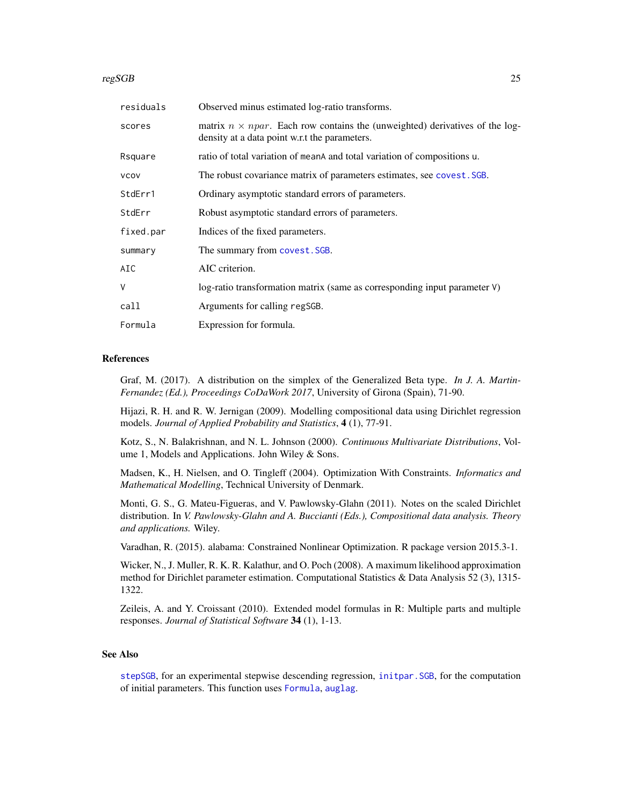#### <span id="page-24-0"></span>regSGB 25

| Observed minus estimated log-ratio transforms.                                                                                       |
|--------------------------------------------------------------------------------------------------------------------------------------|
| matrix $n \times npar$ . Each row contains the (unweighted) derivatives of the log-<br>density at a data point w.r.t the parameters. |
| ratio of total variation of mean and total variation of compositions u.                                                              |
| The robust covariance matrix of parameters estimates, see covest. SGB.                                                               |
| Ordinary asymptotic standard errors of parameters.                                                                                   |
| Robust asymptotic standard errors of parameters.                                                                                     |
| Indices of the fixed parameters.                                                                                                     |
| The summary from covest. SGB.                                                                                                        |
| AIC criterion.                                                                                                                       |
| log-ratio transformation matrix (same as corresponding input parameter V)                                                            |
| Arguments for calling regSGB.                                                                                                        |
| Expression for formula.                                                                                                              |
|                                                                                                                                      |

#### References

Graf, M. (2017). A distribution on the simplex of the Generalized Beta type. *In J. A. Martin-Fernandez (Ed.), Proceedings CoDaWork 2017*, University of Girona (Spain), 71-90.

Hijazi, R. H. and R. W. Jernigan (2009). Modelling compositional data using Dirichlet regression models. *Journal of Applied Probability and Statistics*, 4 (1), 77-91.

Kotz, S., N. Balakrishnan, and N. L. Johnson (2000). *Continuous Multivariate Distributions*, Volume 1, Models and Applications. John Wiley & Sons.

Madsen, K., H. Nielsen, and O. Tingleff (2004). Optimization With Constraints. *Informatics and Mathematical Modelling*, Technical University of Denmark.

Monti, G. S., G. Mateu-Figueras, and V. Pawlowsky-Glahn (2011). Notes on the scaled Dirichlet distribution. In *V. Pawlowsky-Glahn and A. Buccianti (Eds.), Compositional data analysis. Theory and applications.* Wiley.

Varadhan, R. (2015). alabama: Constrained Nonlinear Optimization. R package version 2015.3-1.

Wicker, N., J. Muller, R. K. R. Kalathur, and O. Poch (2008). A maximum likelihood approximation method for Dirichlet parameter estimation. Computational Statistics & Data Analysis 52 (3), 1315- 1322.

Zeileis, A. and Y. Croissant (2010). Extended model formulas in R: Multiple parts and multiple responses. *Journal of Statistical Software* 34 (1), 1-13.

#### See Also

[stepSGB](#page-30-1), for an experimental stepwise descending regression, [initpar.SGB](#page-16-1), for the computation of initial parameters. This function uses [Formula](#page-0-0), [auglag](#page-0-0).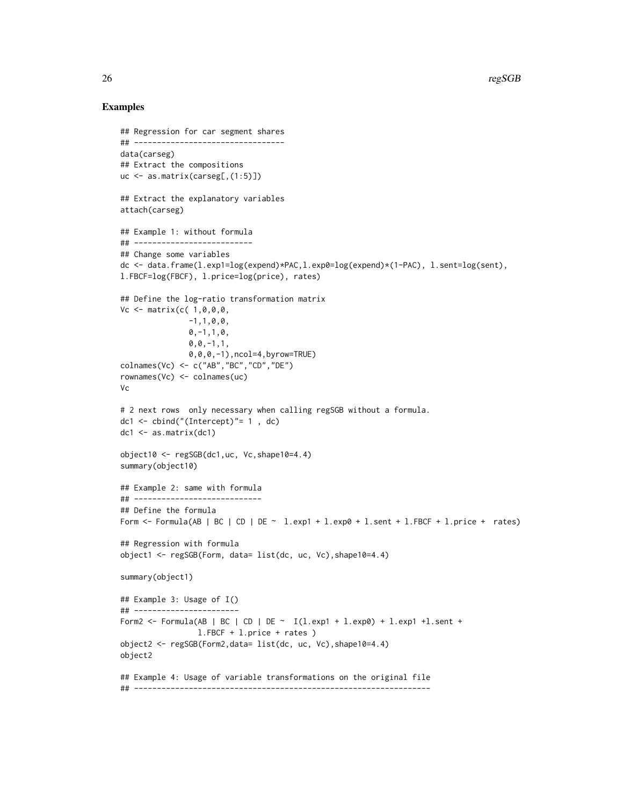```
## Regression for car segment shares
## ---------------------------------
data(carseg)
## Extract the compositions
uc \leq as.matrix(carseg[,(1:5)])
## Extract the explanatory variables
attach(carseg)
## Example 1: without formula
## --------------------------
## Change some variables
dc <- data.frame(l.exp1=log(expend)*PAC,l.exp0=log(expend)*(1-PAC), l.sent=log(sent),
l.FBCF=log(FBCF), l.price=log(price), rates)
## Define the log-ratio transformation matrix
Vc <- matrix(c( 1,0,0,0,
               -1,1,0,0,0, -1, 1, 0,0, 0, -1, 1,0,0,0,-1),ncol=4,byrow=TRUE)
colnames(Vc) <- c("AB","BC","CD","DE")
rownames(Vc) <- colnames(uc)
Vc
# 2 next rows only necessary when calling regSGB without a formula.
dc1 \leftarrow cbind("(Intercept)"= 1, dc)
dc1 <- as.matrix(dc1)
object10 <- regSGB(dc1,uc, Vc,shape10=4.4)
summary(object10)
## Example 2: same with formula
## ----------------------------
## Define the formula
Form \le - Formula(AB | BC | CD | DE \sim 1.exp1 + 1.exp0 + 1.sent + 1.FBCF + 1.price + rates)
## Regression with formula
object1 <- regSGB(Form, data= list(dc, uc, Vc),shape10=4.4)
summary(object1)
## Example 3: Usage of I()
## -----------------------
Form2 <- Formula(AB | BC | CD | DE ~ I(l.exp1 + l.exp0) + l.exp1 + l.sent +
                 l.FBCF + l.price + rates )
object2 <- regSGB(Form2,data= list(dc, uc, Vc),shape10=4.4)
object2
## Example 4: Usage of variable transformations on the original file
## -----------------------------------------------------------------
```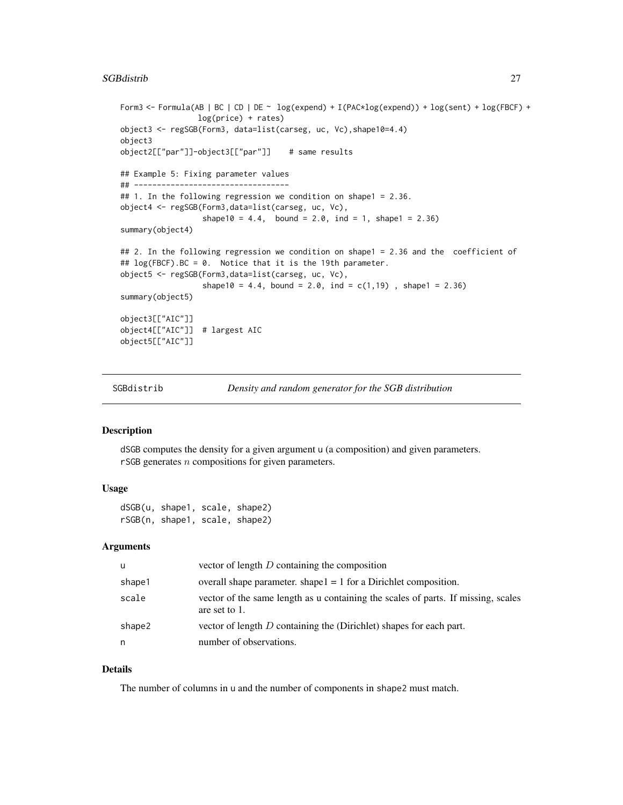#### <span id="page-26-0"></span>SGBdistrib 27

```
Form3 <- Formula(AB | BC | CD | DE ~ log(expend) + I(PAC*log(expend)) + log(sent) + log(FBCF) +
                 log(price) + rates)
object3 <- regSGB(Form3, data=list(carseg, uc, Vc),shape10=4.4)
object3
object2[["par"]]-object3[["par"]] # same results
## Example 5: Fixing parameter values
## ----------------------------------
## 1. In the following regression we condition on shape1 = 2.36.
object4 <- regSGB(Form3,data=list(carseg, uc, Vc),
                  shape10 = 4.4, bound = 2.0, ind = 1, shape1 = 2.36)
summary(object4)
## 2. In the following regression we condition on shape1 = 2.36 and the coefficient of
## log(FBCF).BC = 0. Notice that it is the 19th parameter.
object5 <- regSGB(Form3,data=list(carseg, uc, Vc),
                  shape10 = 4.4, bound = 2.0, ind = c(1,19), shape1 = 2.36)
summary(object5)
object3[["AIC"]]
object4[["AIC"]] # largest AIC
object5[["AIC"]]
```
SGBdistrib *Density and random generator for the SGB distribution*

#### Description

dSGB computes the density for a given argument u (a composition) and given parameters. rSGB generates n compositions for given parameters.

# Usage

dSGB(u, shape1, scale, shape2) rSGB(n, shape1, scale, shape2)

#### Arguments

| u      | vector of length $D$ containing the composition                                                    |
|--------|----------------------------------------------------------------------------------------------------|
| shape1 | overall shape parameter. shape $l = 1$ for a Dirichlet composition.                                |
| scale  | vector of the same length as u containing the scales of parts. If missing, scales<br>are set to 1. |
| shape2 | vector of length $D$ containing the (Dirichlet) shapes for each part.                              |
| n      | number of observations.                                                                            |

### Details

The number of columns in u and the number of components in shape2 must match.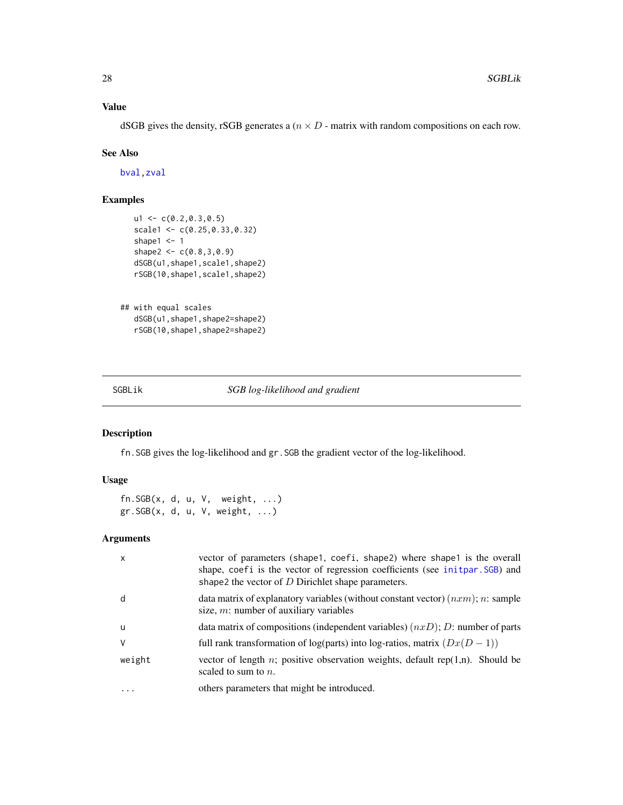# <span id="page-27-0"></span>Value

dSGB gives the density, rSGB generates a ( $n \times D$  - matrix with random compositions on each row.

#### See Also

[bval,zval](#page-28-1)

# Examples

```
ul < -c(0.2, 0.3, 0.5)scale1 <- c(0.25,0.33,0.32)
shape1 <-1shape2 <- c(0.8, 3, 0.9)dSGB(u1,shape1,scale1,shape2)
rSGB(10,shape1,scale1,shape2)
```

```
## with equal scales
  dSGB(u1,shape1,shape2=shape2)
  rSGB(10,shape1,shape2=shape2)
```
SGBLik *SGB log-likelihood and gradient*

# Description

fn.SGB gives the log-likelihood and gr.SGB the gradient vector of the log-likelihood.

# Usage

fn.SGB(x, d, u, V, weight, ...) gr.SGB(x, d, u, V, weight, ...)

#### Arguments

| $\mathsf{x}$ | vector of parameters (shape1, coefi, shape2) where shape1 is the overall<br>shape, coefi is the vector of regression coefficients (see initpar. SGB) and<br>shape2 the vector of $D$ Dirichlet shape parameters. |
|--------------|------------------------------------------------------------------------------------------------------------------------------------------------------------------------------------------------------------------|
| d            | data matrix of explanatory variables (without constant vector) $(nxm)$ ; n: sample<br>size, $m$ : number of auxiliary variables                                                                                  |
| - u          | data matrix of compositions (independent variables) $(nxD)$ ; D: number of parts                                                                                                                                 |
| V            | full rank transformation of log(parts) into log-ratios, matrix $(Dx(D-1))$                                                                                                                                       |
| weight       | vector of length $n$ ; positive observation weights, default rep $(1,n)$ . Should be<br>scaled to sum to $n$ .                                                                                                   |
| .            | others parameters that might be introduced.                                                                                                                                                                      |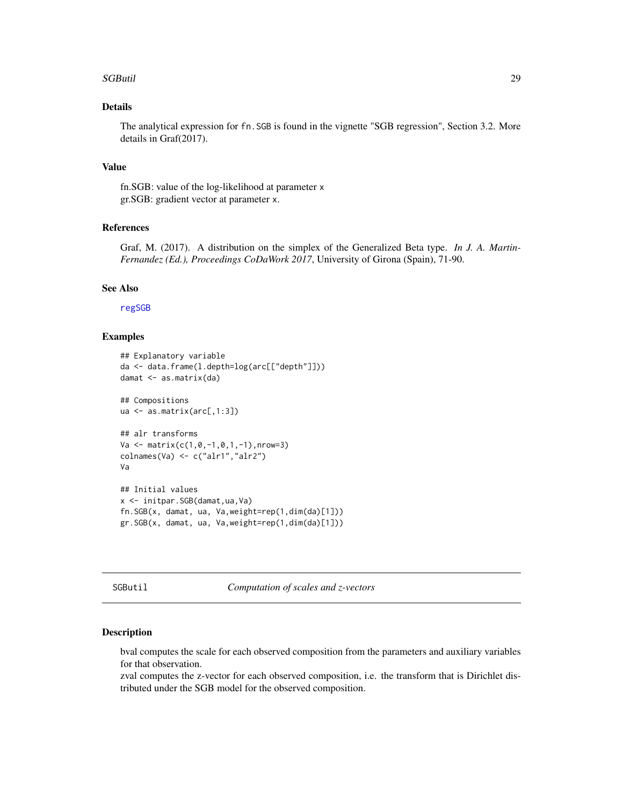#### <span id="page-28-0"></span>SGButil 29

# Details

The analytical expression for fn.SGB is found in the vignette "SGB regression", Section 3.2. More details in Graf(2017).

# Value

fn.SGB: value of the log-likelihood at parameter x gr.SGB: gradient vector at parameter x.

# References

Graf, M. (2017). A distribution on the simplex of the Generalized Beta type. *In J. A. Martin-Fernandez (Ed.), Proceedings CoDaWork 2017*, University of Girona (Spain), 71-90.

#### See Also

[regSGB](#page-21-1)

#### Examples

```
## Explanatory variable
da <- data.frame(l.depth=log(arc[["depth"]]))
damat <- as.matrix(da)
## Compositions
ua <- as.matrix(arc[,1:3])
## alr transforms
Va \leftarrow matrix(c(1, 0, -1, 0, 1, -1), nrow=3)colnames(Va) <- c("alr1","alr2")
Va
## Initial values
x <- initpar.SGB(damat,ua,Va)
fn.SGB(x, damat, ua, Va,weight=rep(1,dim(da)[1]))
gr.SGB(x, damat, ua, Va,weight=rep(1,dim(da)[1]))
```
SGButil *Computation of scales and z-vectors*

#### <span id="page-28-1"></span>Description

bval computes the scale for each observed composition from the parameters and auxiliary variables for that observation.

zval computes the z-vector for each observed composition, i.e. the transform that is Dirichlet distributed under the SGB model for the observed composition.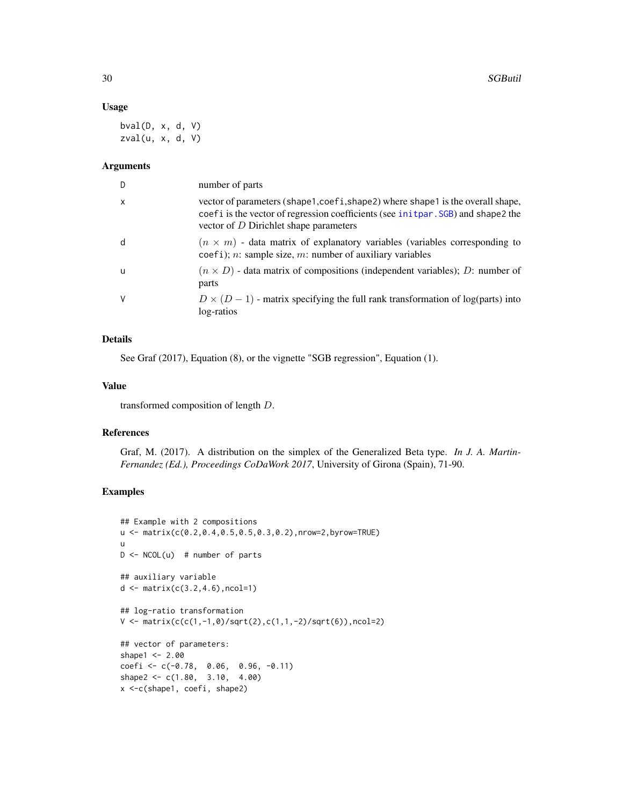#### Usage

bval(D, x, d, V) zval(u, x, d, V)

#### Arguments

| D            | number of parts                                                                                                                                                                                               |
|--------------|---------------------------------------------------------------------------------------------------------------------------------------------------------------------------------------------------------------|
| $\mathsf{x}$ | vector of parameters (shape1,coefi,shape2) where shape1 is the overall shape,<br>coefi is the vector of regression coefficients (see initpar. SGB) and shape2 the<br>vector of $D$ Dirichlet shape parameters |
| d            | $(n \times m)$ - data matrix of explanatory variables (variables corresponding to<br>$\c{coeffi}$ ; n: sample size, m: number of auxiliary variables                                                          |
| u            | $(n \times D)$ - data matrix of compositions (independent variables); D: number of<br>parts                                                                                                                   |
| V            | $D \times (D-1)$ - matrix specifying the full rank transformation of log(parts) into<br>log-ratios                                                                                                            |

# Details

See Graf (2017), Equation (8), or the vignette "SGB regression", Equation (1).

# Value

transformed composition of length D.

## References

Graf, M. (2017). A distribution on the simplex of the Generalized Beta type. *In J. A. Martin-Fernandez (Ed.), Proceedings CoDaWork 2017*, University of Girona (Spain), 71-90.

```
## Example with 2 compositions
u <- matrix(c(0.2,0.4,0.5,0.5,0.3,0.2),nrow=2,byrow=TRUE)
u
D \le -NCOL(u) # number of parts
## auxiliary variable
d <- matrix(c(3.2,4.6),ncol=1)
## log-ratio transformation
V \le matrix(c(c(1,-1,0)/sqrt(2),c(1,1,-2)/sqrt(6)),ncol=2)
## vector of parameters:
shape1 < -2.00coefi <- c(-0.78, 0.06, 0.96, -0.11)
shape2 <- c(1.80, 3.10, 4.00)
x <-c(shape1, coefi, shape2)
```
<span id="page-29-0"></span>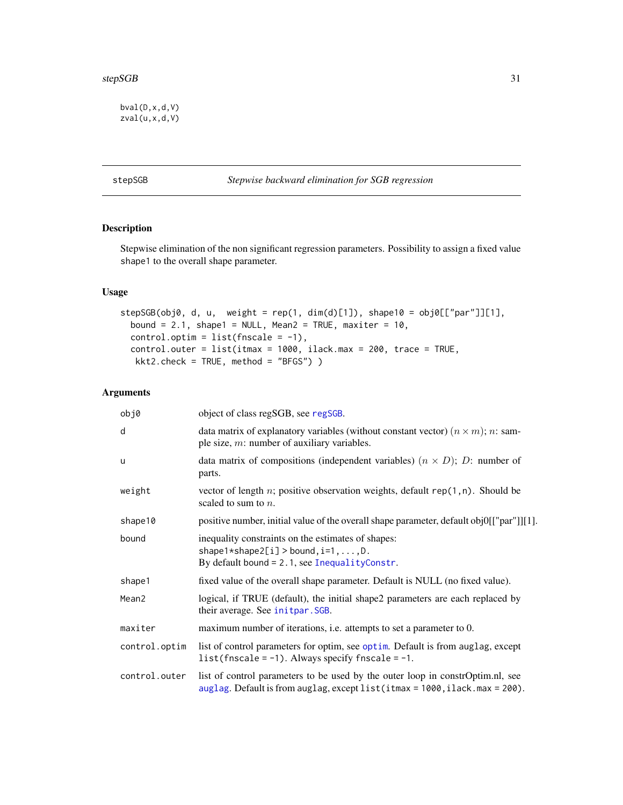<span id="page-30-0"></span>bval(D,x,d,V) zval(u,x,d,V)

# <span id="page-30-1"></span>stepSGB *Stepwise backward elimination for SGB regression*

# Description

Stepwise elimination of the non significant regression parameters. Possibility to assign a fixed value shape1 to the overall shape parameter.

# Usage

```
stepSGB(obj0, d, u, weight = rep(1, dim(d)[1]), shape10 = obj0[["par"]][1],
 bound = 2.1, shape1 = NULL, Mean2 = TRUE, maxiter = 10,
  control.optim = list(fnscale = -1),
  control.outer = list(itmax = 1000, ilack.max = 200, trace = TRUE,
  kkt2.check = TRUE, method = "BFGS") )
```
# Arguments

| obj0          | object of class regSGB, see regSGB.                                                                                                                            |
|---------------|----------------------------------------------------------------------------------------------------------------------------------------------------------------|
| d             | data matrix of explanatory variables (without constant vector) $(n \times m)$ ; n: sam-<br>ple size, $m$ : number of auxiliary variables.                      |
| <b>u</b>      | data matrix of compositions (independent variables) $(n \times D)$ ; D: number of<br>parts.                                                                    |
| weight        | vector of length n; positive observation weights, default $rep(1, n)$ . Should be<br>scaled to sum to $n$ .                                                    |
| shape10       | positive number, initial value of the overall shape parameter, default obj0[["par"]][1].                                                                       |
| bound         | inequality constraints on the estimates of shapes:<br>$shape1*shape2[i] > bound, i=1, \ldots, D.$<br>By default bound $= 2.1$ , see Inequality Constr.         |
| shape1        | fixed value of the overall shape parameter. Default is NULL (no fixed value).                                                                                  |
| Mean2         | logical, if TRUE (default), the initial shape2 parameters are each replaced by<br>their average. See initpar. SGB.                                             |
| maxiter       | maximum number of iterations, i.e. attempts to set a parameter to 0.                                                                                           |
| control.optim | list of control parameters for optim, see optim. Default is from auglag, except<br>list(fnscale = $-1$ ). Always specify fnscale = $-1$ .                      |
| control.outer | list of control parameters to be used by the outer loop in constroptim.nl, see<br>auglag. Default is from auglag, except list (itmax = 1000, ilack.max = 200). |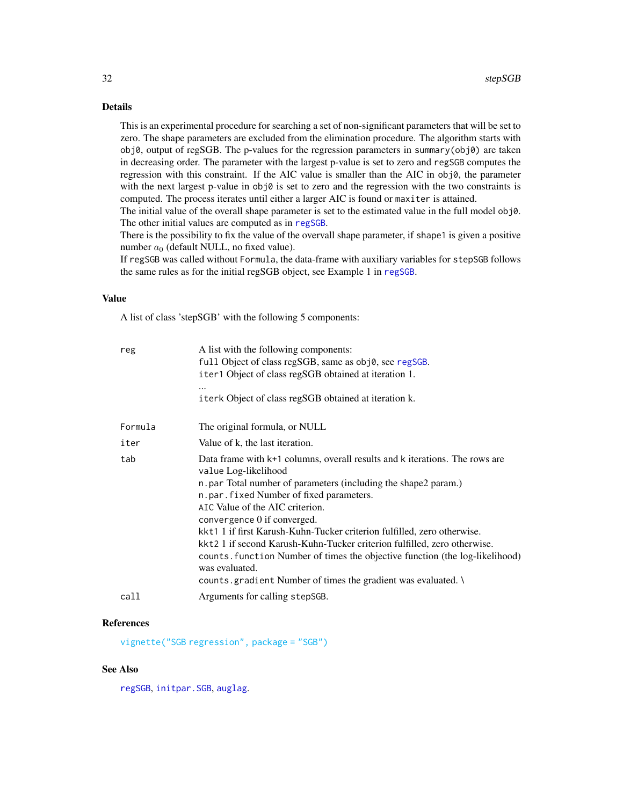# <span id="page-31-0"></span>Details

This is an experimental procedure for searching a set of non-significant parameters that will be set to zero. The shape parameters are excluded from the elimination procedure. The algorithm starts with obj0, output of regSGB. The p-values for the regression parameters in summary(obj0) are taken in decreasing order. The parameter with the largest p-value is set to zero and regSGB computes the regression with this constraint. If the AIC value is smaller than the AIC in  $obj0$ , the parameter with the next largest p-value in obj0 is set to zero and the regression with the two constraints is computed. The process iterates until either a larger AIC is found or maxiter is attained.

The initial value of the overall shape parameter is set to the estimated value in the full model obj0. The other initial values are computed as in [regSGB](#page-21-1).

There is the possibility to fix the value of the overvall shape parameter, if shape1 is given a positive number  $a_0$  (default NULL, no fixed value).

If regSGB was called without Formula, the data-frame with auxiliary variables for stepSGB follows the same rules as for the initial regSGB object, see Example 1 in [regSGB](#page-21-1).

#### Value

A list of class 'stepSGB' with the following 5 components:

| reg     | A list with the following components:<br>full Object of class regSGB, same as obj0, see regSGB.<br>iter1 Object of class regSGB obtained at iteration 1.                                                                                                                                                                                                                                                                                                                                                                                                                                                                |
|---------|-------------------------------------------------------------------------------------------------------------------------------------------------------------------------------------------------------------------------------------------------------------------------------------------------------------------------------------------------------------------------------------------------------------------------------------------------------------------------------------------------------------------------------------------------------------------------------------------------------------------------|
|         | <br>iterk Object of class regSGB obtained at iteration k.                                                                                                                                                                                                                                                                                                                                                                                                                                                                                                                                                               |
| Formula | The original formula, or NULL                                                                                                                                                                                                                                                                                                                                                                                                                                                                                                                                                                                           |
| iter    | Value of k, the last iteration.                                                                                                                                                                                                                                                                                                                                                                                                                                                                                                                                                                                         |
| tab     | Data frame with k+1 columns, overall results and k iterations. The rows are<br>value Log-likelihood<br>n. par Total number of parameters (including the shape2 param.)<br>n.par.fixed Number of fixed parameters.<br>AIC Value of the AIC criterion.<br>convergence 0 if converged.<br>kkt1 1 if first Karush-Kuhn-Tucker criterion fulfilled, zero otherwise.<br>kkt2 1 if second Karush-Kuhn-Tucker criterion fulfilled, zero otherwise.<br>counts. function Number of times the objective function (the log-likelihood)<br>was evaluated.<br>counts gradient Number of times the gradient was evaluated. $\setminus$ |
| call    | Arguments for calling stepSGB.                                                                                                                                                                                                                                                                                                                                                                                                                                                                                                                                                                                          |

# References

[vignette\("SGB regression", package = "SGB"\)](#page-0-0)

### See Also

[regSGB](#page-21-1), [initpar.SGB](#page-16-1), [auglag](#page-0-0).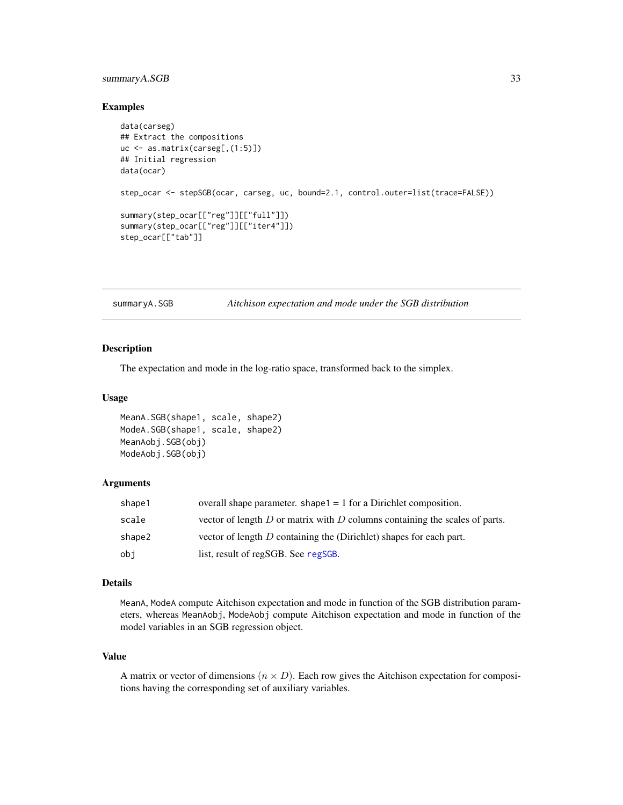# <span id="page-32-0"></span>summaryA.SGB 33

#### Examples

```
data(carseg)
## Extract the compositions
uc <- as.matrix(carseg[,(1:5)])
## Initial regression
data(ocar)
step_ocar <- stepSGB(ocar, carseg, uc, bound=2.1, control.outer=list(trace=FALSE))
summary(step_ocar[["reg"]][["full"]])
summary(step_ocar[["reg"]][["iter4"]])
step_ocar[["tab"]]
```
#### summaryA.SGB *Aitchison expectation and mode under the SGB distribution*

#### Description

The expectation and mode in the log-ratio space, transformed back to the simplex.

#### Usage

```
MeanA.SGB(shape1, scale, shape2)
ModeA.SGB(shape1, scale, shape2)
MeanAobj.SGB(obj)
ModeAobj.SGB(obj)
```
#### Arguments

| shape1 | overall shape parameter, shape $1 = 1$ for a Dirichlet composition.             |
|--------|---------------------------------------------------------------------------------|
| scale  | vector of length $D$ or matrix with $D$ columns containing the scales of parts. |
| shape2 | vector of length $D$ containing the (Dirichlet) shapes for each part.           |
| obi    | list, result of regSGB. See regSGB.                                             |

### Details

MeanA, ModeA compute Aitchison expectation and mode in function of the SGB distribution parameters, whereas MeanAobj, ModeAobj compute Aitchison expectation and mode in function of the model variables in an SGB regression object.

#### Value

A matrix or vector of dimensions  $(n \times D)$ . Each row gives the Aitchison expectation for compositions having the corresponding set of auxiliary variables.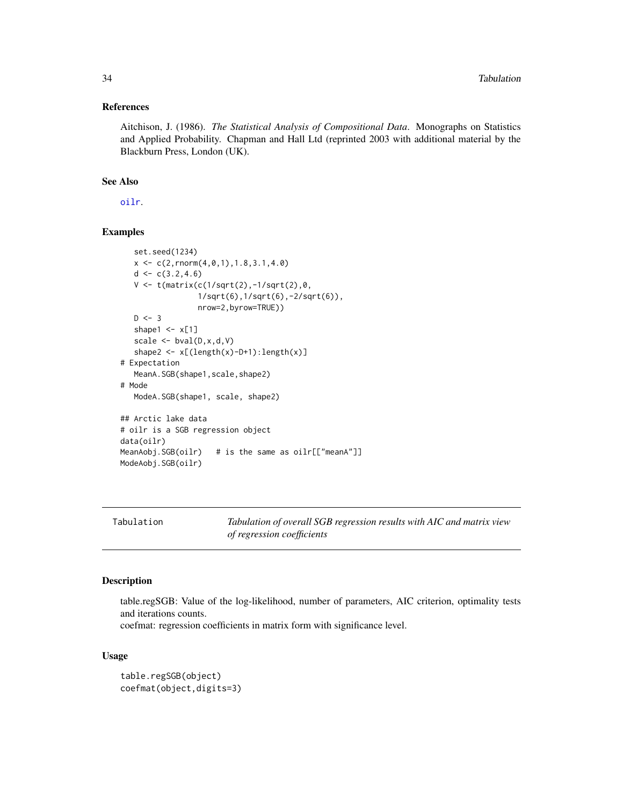#### <span id="page-33-0"></span>References

Aitchison, J. (1986). *The Statistical Analysis of Compositional Data*. Monographs on Statistics and Applied Probability. Chapman and Hall Ltd (reprinted 2003 with additional material by the Blackburn Press, London (UK).

#### See Also

[oilr](#page-20-1).

# Examples

```
set.seed(1234)
   x \leq c(2, \text{rnorm}(4, 0, 1), 1.8, 3.1, 4.0)d \leftarrow c(3.2, 4.6)V <- t(matrix(c(1/sqrt(2),-1/sqrt(2),0,
                  1/sqrt(6),1/sqrt(6),-2/sqrt(6)),
                  nrow=2,byrow=TRUE))
   D \le -3shape1 \leq -x[1]scale \leq bval(D, x, d, V)shape2 <- x[(length(x)-D+1):length(x)]# Expectation
   MeanA.SGB(shape1,scale,shape2)
# Mode
   ModeA.SGB(shape1, scale, shape2)
## Arctic lake data
# oilr is a SGB regression object
data(oilr)
MeanAobj.SGB(oilr) # is the same as oilr[["meanA"]]
ModeAobj.SGB(oilr)
```
Tabulation *Tabulation of overall SGB regression results with AIC and matrix view of regression coefficients*

# Description

table.regSGB: Value of the log-likelihood, number of parameters, AIC criterion, optimality tests and iterations counts.

coefmat: regression coefficients in matrix form with significance level.

#### Usage

```
table.regSGB(object)
coefmat(object,digits=3)
```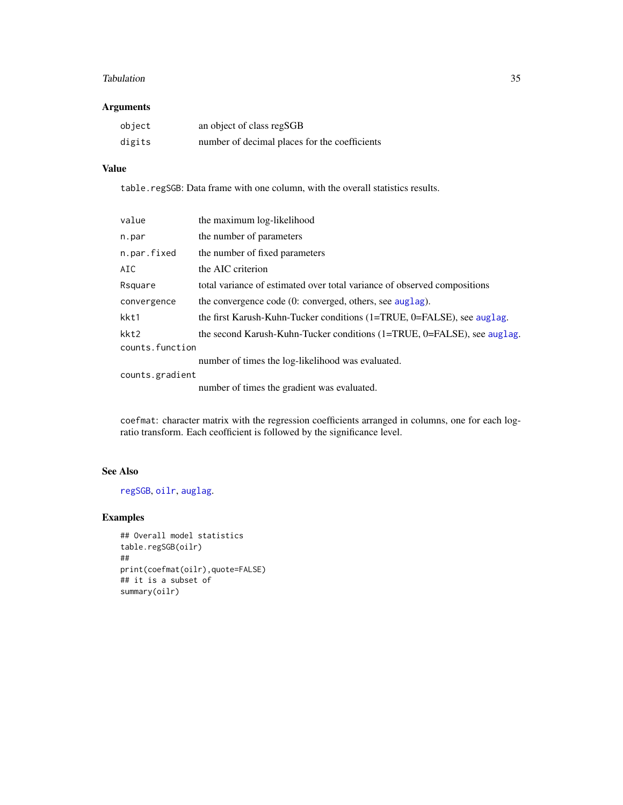#### <span id="page-34-0"></span>Tabulation 35

# Arguments

| object | an object of class regSGB                     |
|--------|-----------------------------------------------|
| digits | number of decimal places for the coefficients |

# Value

table.regSGB: Data frame with one column, with the overall statistics results.

| value           | the maximum log-likelihood                                               |  |
|-----------------|--------------------------------------------------------------------------|--|
| n.par           | the number of parameters                                                 |  |
| n.par.fixed     | the number of fixed parameters                                           |  |
| AIC             | the AIC criterion                                                        |  |
| Rsquare         | total variance of estimated over total variance of observed compositions |  |
| convergence     | the convergence code $(0:$ converged, others, see auglag).               |  |
| kkt1            | the first Karush-Kuhn-Tucker conditions (1=TRUE, 0=FALSE), see auglag.   |  |
| kkt2            | the second Karush-Kuhn-Tucker conditions (1=TRUE, 0=FALSE), see auglag.  |  |
| counts.function |                                                                          |  |
|                 | number of times the log-likelihood was evaluated.                        |  |
| counts.gradient |                                                                          |  |
|                 | number of times the gradient was evaluated.                              |  |

coefmat: character matrix with the regression coefficients arranged in columns, one for each logratio transform. Each ceofficient is followed by the significance level.

# See Also

[regSGB](#page-21-1), [oilr](#page-20-1), [auglag](#page-0-0).

```
## Overall model statistics
table.regSGB(oilr)
##
print(coefmat(oilr),quote=FALSE)
## it is a subset of
summary(oilr)
```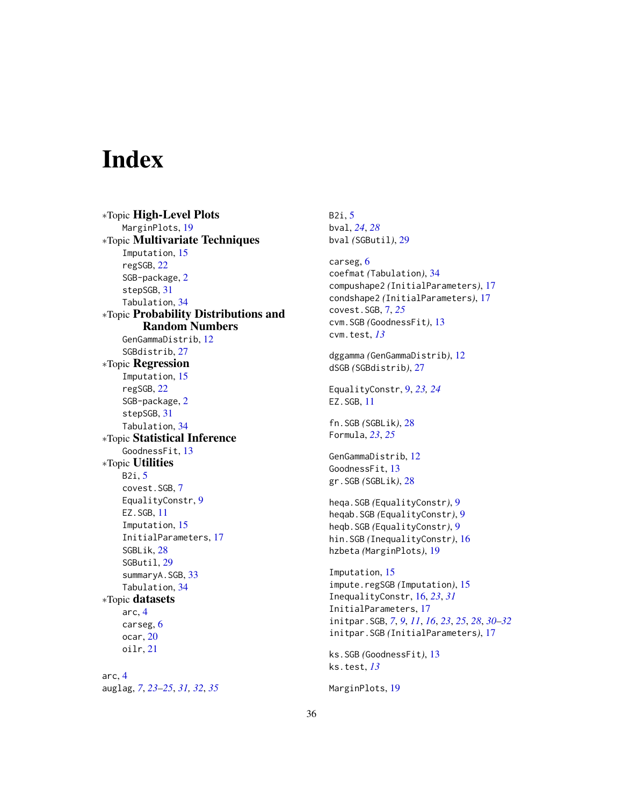# <span id="page-35-0"></span>**Index**

∗Topic High-Level Plots MarginPlots, [19](#page-18-0) ∗Topic Multivariate Techniques Imputation, [15](#page-14-0) regSGB, [22](#page-21-0) SGB-package, [2](#page-1-0) stepSGB, [31](#page-30-0) Tabulation, [34](#page-33-0) ∗Topic Probability Distributions and Random Numbers GenGammaDistrib, [12](#page-11-0) SGBdistrib, [27](#page-26-0) ∗Topic Regression Imputation, [15](#page-14-0) regSGB, [22](#page-21-0) SGB-package, [2](#page-1-0) stepSGB, [31](#page-30-0) Tabulation, [34](#page-33-0) ∗Topic Statistical Inference GoodnessFit, [13](#page-12-0) ∗Topic Utilities B2i, [5](#page-4-0) covest.SGB, [7](#page-6-0) EqualityConstr, [9](#page-8-0) EZ.SGB, [11](#page-10-0) Imputation, [15](#page-14-0) InitialParameters, [17](#page-16-0) SGBLik, [28](#page-27-0) SGButil, [29](#page-28-0) summaryA.SGB, [33](#page-32-0) Tabulation, [34](#page-33-0) ∗Topic datasets arc, [4](#page-3-0) carseg, [6](#page-5-0) ocar, [20](#page-19-0) oilr, [21](#page-20-0) arc, [4](#page-3-0) auglag, *[7](#page-6-0)*, *[23](#page-22-0)[–25](#page-24-0)*, *[31,](#page-30-0) [32](#page-31-0)*, *[35](#page-34-0)*

B2i, [5](#page-4-0) bval, *[24](#page-23-0)*, *[28](#page-27-0)* bval *(*SGButil*)*, [29](#page-28-0) carseg, [6](#page-5-0) coefmat *(*Tabulation*)*, [34](#page-33-0) compushape2 *(*InitialParameters*)*, [17](#page-16-0) condshape2 *(*InitialParameters*)*, [17](#page-16-0) covest.SGB, [7,](#page-6-0) *[25](#page-24-0)* cvm.SGB *(*GoodnessFit*)*, [13](#page-12-0) cvm.test, *[13](#page-12-0)* dggamma *(*GenGammaDistrib*)*, [12](#page-11-0) dSGB *(*SGBdistrib*)*, [27](#page-26-0) EqualityConstr, [9,](#page-8-0) *[23,](#page-22-0) [24](#page-23-0)* EZ.SGB, [11](#page-10-0) fn.SGB *(*SGBLik*)*, [28](#page-27-0) Formula, *[23](#page-22-0)*, *[25](#page-24-0)* GenGammaDistrib, [12](#page-11-0) GoodnessFit, [13](#page-12-0) gr.SGB *(*SGBLik*)*, [28](#page-27-0) heqa.SGB *(*EqualityConstr*)*, [9](#page-8-0) heqab.SGB *(*EqualityConstr*)*, [9](#page-8-0) heqb.SGB *(*EqualityConstr*)*, [9](#page-8-0) hin.SGB *(*InequalityConstr*)*, [16](#page-15-0) hzbeta *(*MarginPlots*)*, [19](#page-18-0) Imputation, [15](#page-14-0) impute.regSGB *(*Imputation*)*, [15](#page-14-0) InequalityConstr, [16,](#page-15-0) *[23](#page-22-0)*, *[31](#page-30-0)* InitialParameters, [17](#page-16-0) initpar.SGB, *[7](#page-6-0)*, *[9](#page-8-0)*, *[11](#page-10-0)*, *[16](#page-15-0)*, *[23](#page-22-0)*, *[25](#page-24-0)*, *[28](#page-27-0)*, *[30](#page-29-0)[–32](#page-31-0)* initpar.SGB *(*InitialParameters*)*, [17](#page-16-0) ks.SGB *(*GoodnessFit*)*, [13](#page-12-0) ks.test, *[13](#page-12-0)* MarginPlots, [19](#page-18-0)